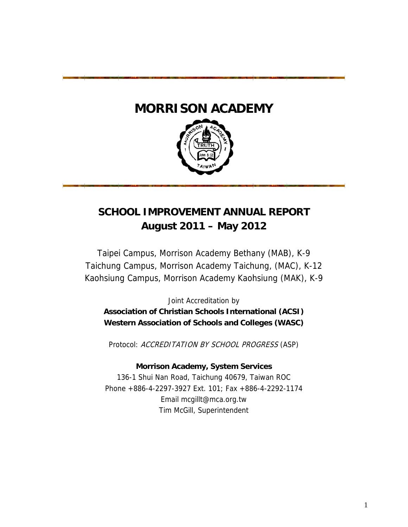# **MORRISON ACADEMY**



# **SCHOOL IMPROVEMENT ANNUAL REPORT** August 2011 - May 2012

Taipei Campus, Morrison Academy Bethany (MAB), K-9 Taichung Campus, Morrison Academy Taichung, (MAC), K-12 Kaohsiung Campus, Morrison Academy Kaohsiung (MAK), K-9

Joint Accreditation by **Association of Christian Schools International (ACSI)** Western Association of Schools and Colleges (WASC)

Protocol: ACCREDITATION BY SCHOOL PROGRESS (ASP)

## **Morrison Academy, System Services**

136-1 Shui Nan Road, Taichung 40679, Taiwan ROC Phone +886-4-2297-3927 Ext. 101; Fax +886-4-2292-1174 Email mcgillt@mca.org.tw Tim McGill, Superintendent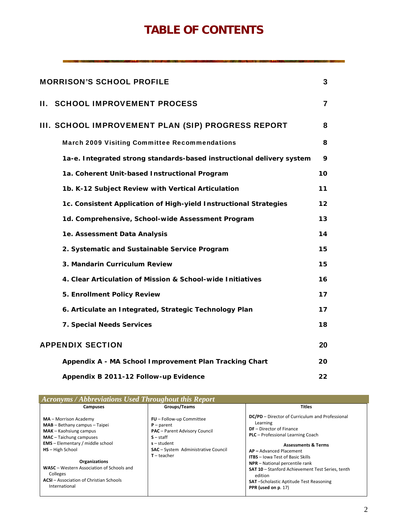# **TABLE OF CONTENTS**

| <b>MORRISON'S SCHOOL PROFILE</b>                                      | 3  |
|-----------------------------------------------------------------------|----|
| <b>II. SCHOOL IMPROVEMENT PROCESS</b>                                 | 7  |
| III. SCHOOL IMPROVEMENT PLAN (SIP) PROGRESS REPORT                    | 8  |
| <b>March 2009 Visiting Committee Recommendations</b>                  | 8  |
| 1a-e. Integrated strong standards-based instructional delivery system | 9  |
| 1a. Coherent Unit-based Instructional Program                         | 10 |
| 1b. K-12 Subject Review with Vertical Articulation                    | 11 |
| 1c. Consistent Application of High-yield Instructional Strategies     | 12 |
| 1d. Comprehensive, School-wide Assessment Program                     | 13 |
| 1e. Assessment Data Analysis                                          | 14 |
| 2. Systematic and Sustainable Service Program                         | 15 |
| 3. Mandarin Curriculum Review                                         | 15 |
| 4. Clear Articulation of Mission & School-wide Initiatives            | 16 |
| 5. Enrollment Policy Review                                           | 17 |
| 6. Articulate an Integrated, Strategic Technology Plan                | 17 |
| 7. Special Needs Services                                             | 18 |
| <b>APPENDIX SECTION</b>                                               | 20 |
| Appendix A - MA School Improvement Plan Tracking Chart                | 20 |
| Appendix B 2011-12 Follow-up Evidence                                 | 22 |

| <b>Acronyms / Abbreviations Used Throughout this Report</b>                                                                                                                                                                                                                                                                               |                                                                                                                                                                                 |                                                                                                                                                                                                                                                                                                                                                                                                                             |  |  |  |  |  |  |  |  |  |
|-------------------------------------------------------------------------------------------------------------------------------------------------------------------------------------------------------------------------------------------------------------------------------------------------------------------------------------------|---------------------------------------------------------------------------------------------------------------------------------------------------------------------------------|-----------------------------------------------------------------------------------------------------------------------------------------------------------------------------------------------------------------------------------------------------------------------------------------------------------------------------------------------------------------------------------------------------------------------------|--|--|--|--|--|--|--|--|--|
| Campuses                                                                                                                                                                                                                                                                                                                                  | Groups/Teams                                                                                                                                                                    | <b>Titles</b>                                                                                                                                                                                                                                                                                                                                                                                                               |  |  |  |  |  |  |  |  |  |
| MA - Morrison Academy<br>$MAB - Bethany$ campus $-$ Taipei<br>MAK - Kaohsiung campus<br><b>MAC</b> - Taichung campuses<br><b>EMS</b> - Elementary / middle school<br><b>HS</b> - High School<br>Organizations<br>WASC - Western Association of Schools and<br>Colleges<br><b>ACSI</b> – Association of Christian Schools<br>International | FU - Follow-up Committee<br>$P$ – parent<br><b>PAC</b> - Parent Advisory Council<br>$S - start$<br>$s$ – student<br><b>SAC</b> - System Administrative Council<br>$T$ – teacher | DC/PD – Director of Curriculum and Professional<br>Learning<br>$DF - Director$ of Finance<br><b>PLC</b> - Professional Learning Coach<br><b>Assessments &amp; Terms</b><br>AP-Advanced Placement<br><b>ITBS</b> - Jowa Test of Basic Skills<br>NPR - National percentile rank<br><b>SAT 10</b> - Stanford Achievement Test Series, tenth<br>edition<br><b>SAT-Scholastic Aptitude Test Reasoning</b><br>PPR (used on p. 17) |  |  |  |  |  |  |  |  |  |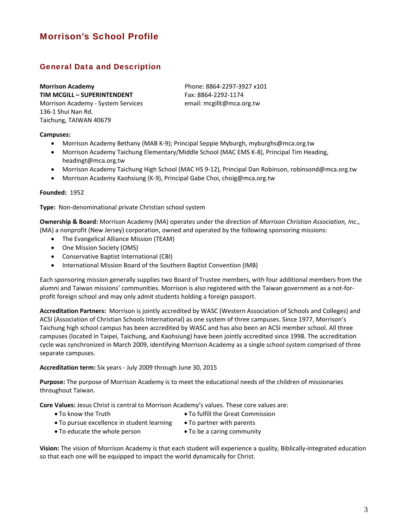## Morrison's School Profile

## General Data and Description

**Morrison Academy TIM MCGILL – SUPERINTENDENT** Morrison Academy ‐ System Services 136‐1 Shui Nan Rd. Taichung, TAIWAN 40679

Phone: 8864‐2297‐3927 x101 Fax: 8864‐2292‐1174 email: mcgillt@mca.org.tw

### **Campuses:**

- Morrison Academy Bethany (MAB K‐9); Principal Seppie Myburgh, myburghs@mca.org.tw
- Morrison Academy Taichung Elementary/Middle School (MAC EMS K‐8), Principal Tim Heading, headingt@mca.org.tw
- Morrison Academy Taichung High School (MAC HS 9‐12), Principal Dan Robinson, robinsond@mca.org.tw
- Morrison Academy Kaohsiung (K‐9), Principal Gabe Choi, choig@mca.org.tw

### **Founded:** 1952

**Type:** Non‐denominational private Christian school system

**Ownership & Board:** Morrison Academy (MA) operates under the direction of *Morrison Christian Association, Inc*., (MA) a nonprofit (New Jersey) corporation, owned and operated by the following sponsoring missions:

- The Evangelical Alliance Mission (TEAM)
- One Mission Society (OMS)
- Conservative Baptist International (CBI)
- International Mission Board of the Southern Baptist Convention (IMB)

Each sponsoring mission generally supplies two Board of Trustee members, with four additional members from the alumni and Taiwan missions' communities. Morrison is also registered with the Taiwan government as a not‐for‐ profit foreign school and may only admit students holding a foreign passport.

**Accreditation Partners:** Morrison is jointly accredited by WASC (Western Association of Schools and Colleges) and ACSI (Association of Christian Schools International) as one system of three campuses. Since 1977, Morrison's Taichung high school campus has been accredited by WASC and has also been an ACSI member school. All three campuses (located in Taipei, Taichung, and Kaohsiung) have been jointly accredited since 1998. The accreditation cycle was synchronized in March 2009, identifying Morrison Academy as a single school system comprised of three separate campuses.

### **Accreditation term:** Six years ‐ July 2009 through June 30, 2015

**Purpose:** The purpose of Morrison Academy is to meet the educational needs of the children of missionaries throughout Taiwan.

**Core Values:** Jesus Christ is central to Morrison Academy's values. These core values are:

- 
- To know the Truth **Calcular Commission To fulfill the Great Commission**
- $\bullet$  To pursue excellence in student learning  $\bullet$  To partner with parents
	-
- To educate the whole person To be a caring community

**Vision:** The vision of Morrison Academy is that each student will experience a quality, Biblically‐integrated education so that each one will be equipped to impact the world dynamically for Christ.

3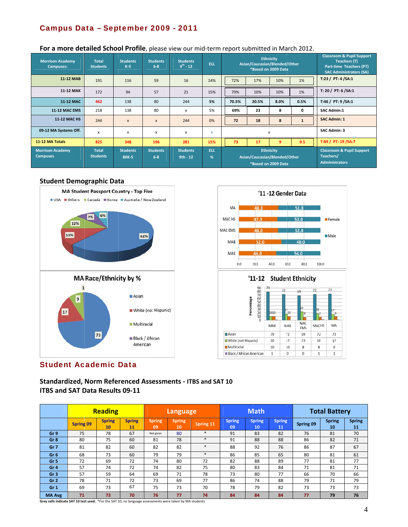## Campus Data - September 2009 - 2011

| <b>Morrison Academy</b><br><b>Campuses:</b> | <b>Total</b><br><b>Students</b> | <b>Students</b><br>$K-5$ | . .<br><b>Students</b><br>$6 - 8$ | <b>Students</b><br>$9^{th} - 12$ | <b>ELL</b>      | <b>Ethnicity</b><br>Asian/Caucasian/Blended/Other<br>*Based on 2009 Data |                  |              |                                                                            | <b>Classroom &amp; Pupil Support</b><br>Teachers (T)<br>Part-time Teachers (PT)<br><b>SAC Administrators (SA)</b> |  |
|---------------------------------------------|---------------------------------|--------------------------|-----------------------------------|----------------------------------|-----------------|--------------------------------------------------------------------------|------------------|--------------|----------------------------------------------------------------------------|-------------------------------------------------------------------------------------------------------------------|--|
| 11-12 MAB                                   | 191                             | 116                      | 59                                | 16                               | 14%             | 72%<br>17%                                                               |                  | 10%          | 1%                                                                         | T:23 / PT: 4 / SA:1                                                                                               |  |
| <b>11-12 MAK</b>                            | 172                             | 94                       | 57                                | 21                               | 15%             | 79%                                                                      | 1%<br>10%<br>10% |              | T: 20 / PT: 6 / SA: 1                                                      |                                                                                                                   |  |
| 11-12 MAC                                   | 462                             | 138                      | 80                                | 244                              | 5%              | 70.5%                                                                    | 20.5%            | 8.0%         | 0.5%                                                                       | T:46 / PT: 9 / SA:1                                                                                               |  |
| <b>11-12 MAC EMS</b>                        | 218                             | 138                      | 80                                | x                                | 5%              | 69%                                                                      | 23<br>8<br>0     |              | <b>SAC Admin:1</b>                                                         |                                                                                                                   |  |
| <b>11-12 MAC HS</b>                         | 244                             | $\mathsf{x}$             | $\boldsymbol{\mathsf{x}}$         | 244                              | 0%              | 72                                                                       | 18<br>8          |              |                                                                            | <b>SAC Admin: 1</b>                                                                                               |  |
| 09-12 MA Systems Off.                       | $\boldsymbol{\mathsf{x}}$       | x                        | x                                 | X                                | X               |                                                                          |                  | $\mathsf{x}$ |                                                                            | <b>SAC Admin: 3</b>                                                                                               |  |
| 11-12 MA Totals                             | 825                             | 348                      | 196                               | 281                              | 15%             | 73                                                                       | 17               | 9            | 0.5                                                                        | T:89 / PT: 19 / SA: 7                                                                                             |  |
| <b>Morrison Academy</b><br><b>Campuses</b>  | <b>Total</b><br><b>Students</b> | <b>Students</b><br>80K-5 | <b>Students</b><br>$6 - 8$        | <b>Students</b><br>$9th - 12$    | <b>ELL</b><br>% | <b>Ethnicity</b><br>Asian/Caucasian/Blended/Other<br>*Based on 2009 Data |                  |              | <b>Classroom &amp; Pupil Support</b><br>Teachers/<br><b>Administrators</b> |                                                                                                                   |  |

## For a more detailed School Profile, please view our mid-term report submitted in March 2012.

### **Student Demographic Data**





## **Student Academic Data**

Standardized, Norm Referenced Assessments - ITBS and SAT 10 **ITBS and SAT Data Results 09-11** 

|                 |                  | <b>Reading</b>      |                     | <b>Language</b>     |              |           | <b>Math</b>         |                     |                     | <b>Total Battery</b> |                     |                     |  |
|-----------------|------------------|---------------------|---------------------|---------------------|--------------|-----------|---------------------|---------------------|---------------------|----------------------|---------------------|---------------------|--|
|                 | <b>Spring 09</b> | <b>Spring</b><br>10 | <b>Spring</b><br>11 | <b>Spring</b><br>09 | Spring<br>10 | Spring 11 | <b>Spring</b><br>09 | <b>Spring</b><br>10 | <b>Spring</b><br>11 | Spring 09            | <b>Spring</b><br>10 | <b>Spring</b><br>11 |  |
| Gr 9            | 75               | 78                  | 67                  | Not given           | 80           | $\ast$    | 91                  | 83                  | 82                  | 76                   | 81                  | 70                  |  |
| Gr <sub>8</sub> | 80               | 75                  | 60                  | 81                  | 78           | $\ast$    | 91                  | 88                  | 88                  | 86                   | 82                  | 71                  |  |
| Gr <sub>7</sub> | 81               | 82                  | 60                  | 82                  | 82           | $\ast$    | 88                  | 92                  | 76                  | 86                   | 87                  | 67                  |  |
| Gr <sub>6</sub> | 68               | 73                  | 60                  | 79                  | 79           | $\ast$    | 86                  | 85                  | 65                  | 80                   | 81                  | 61                  |  |
| Gr <sub>5</sub> | 72               | 69                  | 72                  | 74                  | 80           | 72        | 82                  | 88                  | 89                  | 77                   | 81                  | 77                  |  |
| Gr <sub>4</sub> | 57               | 74                  | 72                  | 74                  | 82           | 75        | 80                  | 83                  | 84                  | 71                   | 81                  | 71                  |  |
| Gr <sub>3</sub> | 57               | 59                  | 64                  | 69                  | 71           | 78        | 73                  | 80                  | 77                  | 66                   | 70                  | 66                  |  |
| Gr <sub>2</sub> | 78               | 71                  | 72                  | 73                  | 69           | 77        | 86                  | 74                  | 88                  | 79                   | 71                  | 79                  |  |
| Gr <sub>1</sub> | 69               | 73                  | 67                  | 75                  | 73           | 70        | 78                  | 79                  | 82                  | 73                   | 73                  | 73                  |  |
| <b>MA Avg</b>   | 71               | 73                  | 70                  | 76                  | 77           | 74        | 84                  | 84                  | 84                  | 77                   | 79                  | 76                  |  |

Grey cells indicate SAT 10 test used; \*For the SAT 10, no language assessments were taken by MA students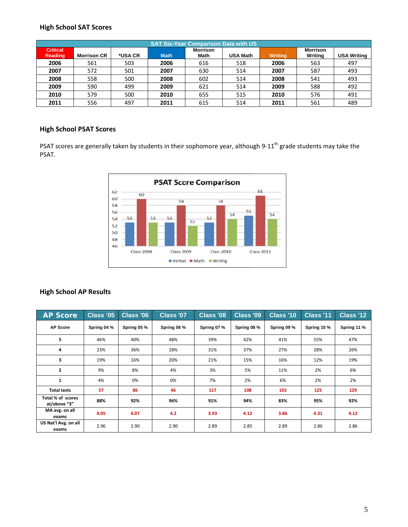## **High School SAT Scores**

|                            | <b>SAT Six-Year Comparison Data with US</b> |         |             |                                |                 |                |                            |                    |  |  |  |  |  |
|----------------------------|---------------------------------------------|---------|-------------|--------------------------------|-----------------|----------------|----------------------------|--------------------|--|--|--|--|--|
| <b>Critical</b><br>Reading | <b>Morrison CR</b>                          | *USA CR | <b>Math</b> | <b>Morrison</b><br><b>Math</b> | <b>USA Math</b> | <b>Writing</b> | <b>Morrison</b><br>Writing | <b>USA Writing</b> |  |  |  |  |  |
| 2006                       | 561                                         | 503     | 2006        | 616                            | 518             | 2006           | 563                        | 497                |  |  |  |  |  |
| 2007                       | 572                                         | 501     | 2007        | 630                            | 514             | 2007           | 587                        | 493                |  |  |  |  |  |
| 2008                       | 558                                         | 500     | 2008        | 602                            | 514             | 2008           | 541                        | 493                |  |  |  |  |  |
| 2009                       | 590                                         | 499     | 2009        | 621                            | 514             | 2009           | 588                        | 492                |  |  |  |  |  |
| 2010                       | 579                                         | 500     | 2010        | 655                            | 515             | 2010           | 576                        | 491                |  |  |  |  |  |
| 2011                       | 556                                         | 497     | 2011        | 615                            | 514             | 2011           | 561                        | 489                |  |  |  |  |  |

## **High School PSAT Scores**

PSAT scores are generally taken by students in their sophomore year, although 9-11<sup>th</sup> grade students may take the PSAT.



## **High School AP Results**

| <b>AP Score</b>                   | Class '05   | <b>Class '06</b> | Class '07   | Class '08   | Class '09   | Class '10   | Class '11   | Class '12   |
|-----------------------------------|-------------|------------------|-------------|-------------|-------------|-------------|-------------|-------------|
| <b>AP Score</b>                   | Spring 04 % | Spring 05 %      | Spring 06 % | Spring 07 % | Spring 08 % | Spring 09 % | Spring 10 % | Spring 11 % |
| 5                                 | 46%         | 40%              | 48%         | 39%         | 42%         | 41%         | 55%         | 47%         |
| 4                                 | 23%         | 36%              | 28%         | 31%         | 37%         | 27%         | 28%         | 26%         |
| 3                                 | 19%         | 16%              | 20%         | 21%         | 15%         | 16%         | 12%         | 19%         |
| $\overline{2}$                    | 9%          | 8%               | 4%          | 3%          | 5%          | 11%         | 2%          | 6%          |
| 1                                 | 4%          | 0%               | 0%          | 7%          | 2%          | 6%          | 2%          | 2%          |
| <b>Total tests</b>                | 57          | 86               | 46          | 117         | 108         | 103         | 125         | 129         |
| Total % of scores<br>at/above "3" | 88%         | 92%              | 96%         | 91%         | 94%         | 83%         | 95%         | 92%         |
| MA avg. on all<br>exams           | 4.05        | 4.07             | 4.2         | 3.93        | 4.12        | 3.86        | 4.31        | 4.12        |
| US Nat'l Avg. on all<br>exams     | 2.96        | 2.90             | 2.90        | 2.89        | 2.85        | 2.89        | 2.86        | 2.86        |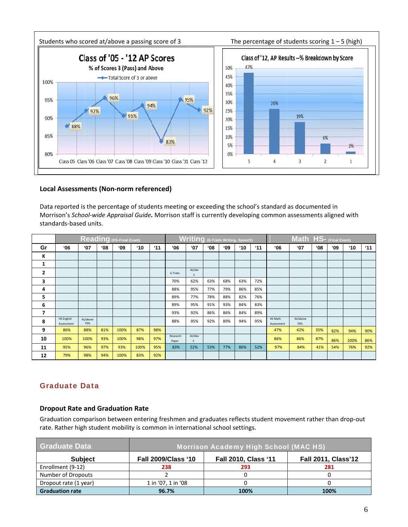

## **Local Assessments (Non-norm referenced)**

Data reported is the percentage of students meeting or exceeding the school's standard as documented in Morrison's School-wide Appraisal Guide. Morrison staff is currently developing common assessments aligned with standards-based units.

|                | <b>Reading</b> (HS-Final Exam)  |                 |     |      |              |                |                   | <b>Writing</b> (6-Traits Writing, Speech) |           |              | Math HS- (Final Exam) |                |                       |                 |              |              |              |              |
|----------------|---------------------------------|-----------------|-----|------|--------------|----------------|-------------------|-------------------------------------------|-----------|--------------|-----------------------|----------------|-----------------------|-----------------|--------------|--------------|--------------|--------------|
| Gr             | '06                             | $^{\circ}07$    | '08 | 09'  | $^{\circ}10$ | $^{\prime}$ 11 | '06               | $^{\circ}07$                              | <b>08</b> | $^{\circ}09$ | $^{\circ}10$          | $^{\prime}$ 11 | '06                   | $^{\circ}$ 07   | $60^{\circ}$ | $^{\circ}09$ | $^{\circ}10$ | $^{\circ}11$ |
| ĸ              |                                 |                 |     |      |              |                |                   |                                           |           |              |                       |                |                       |                 |              |              |              |              |
| 1              |                                 |                 |     |      |              |                |                   |                                           |           |              |                       |                |                       |                 |              |              |              |              |
| $\overline{2}$ |                                 |                 |     |      |              |                | 6 Traits          | At/abv<br>$\overline{\mathbf{3}}$         |           |              |                       |                |                       |                 |              |              |              |              |
| 3              |                                 |                 |     |      |              |                | 70%               | 62%                                       | 63%       | 68%          | 63%                   | 72%            |                       |                 |              |              |              |              |
| 4              |                                 |                 |     |      |              |                | 88%               | 95%                                       | 77%       | 79%          | 86%                   | 85%            |                       |                 |              |              |              |              |
| 5              |                                 |                 |     |      |              |                | 89%               | 77%                                       | 78%       | 88%          | 82%                   | 76%            |                       |                 |              |              |              |              |
| 6              |                                 |                 |     |      |              |                | 89%               | 95%                                       | 91%       | 93%          | 84%                   | 83%            |                       |                 |              |              |              |              |
| 7              |                                 |                 |     |      |              |                | 93%               | 92%                                       | 86%       | 86%          | 84%                   | 89%            |                       |                 |              |              |              |              |
| 8              | <b>HS English</b><br>Assessment | At/above<br>70% |     |      |              |                | 88%               | 95%                                       | 92%       | 89%          | 94%                   | 95%            | HS Math<br>Assessment | At/above<br>70% |              |              |              |              |
| 9              | 86%                             | 88%             | 81% | 100% | 87%          | 98%            |                   |                                           |           |              |                       |                | 47%                   | 42%             | 35%          | 82%          | 94%          | 90%          |
| 10             | 100%                            | 100%            | 93% | 100% | 98%          | 97%            | Research<br>Paper | At/Abv<br>$\overline{\mathbf{3}}$         |           |              |                       |                | 86%                   | 86%             | 87%          | 86%          | 100%         | 86%          |
| 11             | 95%                             | 96%             | 97% | 93%  | 100%         | 95%            | 83%               | 52%                                       | 53%       | 77%          | 86%                   | 52%            | 97%                   | 84%             | 41%          | 54%          | 76%          | 92%          |
| 12             | 79%                             | 98%             | 94% | 100% | 83%          | 92%            |                   |                                           |           |              |                       |                |                       |                 |              |              |              |              |

## **Graduate Data**

## **Dropout Rate and Graduation Rate**

Graduation comparison between entering freshmen and graduates reflects student movement rather than drop-out rate. Rather high student mobility is common in international school settings.

| <b>Graduate Data</b>   | <b>Morrison Academy High School (MAC HS)</b> |                             |                            |  |  |  |  |  |
|------------------------|----------------------------------------------|-----------------------------|----------------------------|--|--|--|--|--|
| <b>Subject</b>         | <b>Fall 2009/Class '10</b>                   | <b>Fall 2010, Class '11</b> | <b>Fall 2011, Class'12</b> |  |  |  |  |  |
| Enrollment (9-12)      | 238                                          | 293                         | 281                        |  |  |  |  |  |
| Number of Dropouts     |                                              |                             |                            |  |  |  |  |  |
| Dropout rate (1 year)  | 1 in '07, 1 in '08                           |                             |                            |  |  |  |  |  |
| <b>Graduation rate</b> | 96.7%                                        | 100%                        | 100%                       |  |  |  |  |  |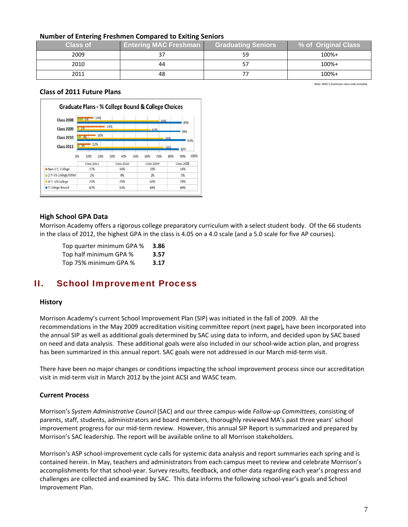## **Number of Entering Freshmen Compared to Exiting Seniors**

| --              | --                           |                           |                     |
|-----------------|------------------------------|---------------------------|---------------------|
| <b>Class of</b> | <b>Entering MAC Freshman</b> | <b>Graduating Seniors</b> | % of Original Class |
| 2009            |                              | 59                        | 100%+               |
| 2010            | 44                           |                           | 100%+               |
| 2011            | 48                           |                           | 100%+               |

Note: MAC's freshman class only included

## **Class of 2011 Future Plans**



### **High School GPA Data**

Morrison Academy offers a rigorous college preparatory curriculum with a select student body. Of the 66 students in the class of 2012, the highest GPA in the class is 4.05 on a 4.0 scale (and a 5.0 scale for five AP courses).

| Top quarter minimum GPA % | 3.86 |
|---------------------------|------|
| Top half minimum GPA %    | 3.57 |
| Top 75% minimum GPA %     | 3.17 |

#### Н. **School Improvement Process**

### **History**

Morrison Academy's current School Improvement Plan (SIP) was initiated in the fall of 2009. All the recommendations in the May 2009 accreditation visiting committee report (next page), have been incorporated into the annual SIP as well as additional goals determined by SAC using data to inform, and decided upon by SAC based on need and data analysis. These additional goals were also included in our school-wide action plan, and progress has been summarized in this annual report. SAC goals were not addressed in our March mid-term visit.

There have been no major changes or conditions impacting the school improvement process since our accreditation visit in mid-term visit in March 2012 by the joint ACSI and WASC team.

### **Current Process**

Morrison's System Administrative Council (SAC) and our three campus-wide Follow-up Committees, consisting of parents, staff, students, administrators and board members, thoroughly reviewed MA's past three years' school improvement progress for our mid-term review. However, this annual SIP Report is summarized and prepared by Morrison's SAC leadership. The report will be available online to all Morrison stakeholders.

Morrison's ASP school-improvement cycle calls for systemic data analysis and report summaries each spring and is contained herein. In May, teachers and administrators from each campus meet to review and celebrate Morrison's accomplishments for that school-year. Survey results, feedback, and other data regarding each year's progress and challenges are collected and examined by SAC. This data informs the following school-year's goals and School Improvement Plan.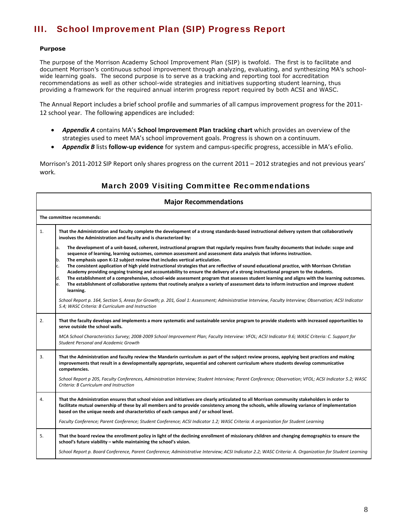## III. School Improvement Plan (SIP) Progress Report

### **Purpose**

The purpose of the Morrison Academy School Improvement Plan (SIP) is twofold. The first is to facilitate and document Morrison's continuous school improvement through analyzing, evaluating, and synthesizing MA's schoolwide learning goals. The second purpose is to serve as a tracking and reporting tool for accreditation recommendations as well as other school-wide strategies and initiatives supporting student learning, thus providing a framework for the required annual interim progress report required by both ACSI and WASC.

The Annual Report includes a brief school profile and summaries of all campus improvement progress for the 2011‐ 12 school year. The following appendices are included:

- *Appendix A* contains MA's **School Improvement Plan tracking chart** which provides an overview of the strategies used to meet MA's school improvement goals. Progress is shown on a continuum.
- *Appendix B* lists **follow‐up evidence** for system and campus‐specific progress, accessible in MA's eFolio.

Morrison's 2011‐2012 SIP Report only shares progress on the current 2011 – 2012 strategies and not previous years' work.

## March 2009 Visiting Committee Recommendations

|    | <b>Major Recommendations</b>                                                                                                                                                                                                                                                                                                                                                                                                                                                                                                                                                                                     |  |  |  |  |  |  |  |  |  |
|----|------------------------------------------------------------------------------------------------------------------------------------------------------------------------------------------------------------------------------------------------------------------------------------------------------------------------------------------------------------------------------------------------------------------------------------------------------------------------------------------------------------------------------------------------------------------------------------------------------------------|--|--|--|--|--|--|--|--|--|
|    | The committee recommends:                                                                                                                                                                                                                                                                                                                                                                                                                                                                                                                                                                                        |  |  |  |  |  |  |  |  |  |
| 1. | That the Administration and faculty complete the development of a strong standards-based instructional delivery system that collaboratively<br>involves the Administration and faculty and is characterized by:                                                                                                                                                                                                                                                                                                                                                                                                  |  |  |  |  |  |  |  |  |  |
|    | The development of a unit-based, coherent, instructional program that regularly requires from faculty documents that include: scope and<br>a.<br>sequence of learning, learning outcomes, common assessment and assessment data analysis that informs instruction.<br>The emphasis upon K-12 subject review that includes vertical articulation.                                                                                                                                                                                                                                                                 |  |  |  |  |  |  |  |  |  |
|    | lb.<br>The consistent application of high yield instructional strategies that are reflective of sound educational practice, with Morrison Christian<br>с.<br>Academy providing ongoing training and accountability to ensure the delivery of a strong instructional program to the students.<br>The establishment of a comprehensive, school-wide assessment program that assesses student learning and aligns with the learning outcomes.<br>d.<br>The establishment of collaborative systems that routinely analyze a variety of assessment data to inform instruction and improve student<br>le.<br>learning. |  |  |  |  |  |  |  |  |  |
|    | School Report p. 164, Section 5, Areas for Growth; p. 201, Goal 1: Assessment; Administrative Interview, Faculty Interview; Observation; ACSI Indicator<br>5.4; WASC Criteria: B Curriculum and Instruction                                                                                                                                                                                                                                                                                                                                                                                                      |  |  |  |  |  |  |  |  |  |
| 2. | That the faculty develops and implements a more systematic and sustainable service program to provide students with increased opportunities to<br>serve outside the school walls.                                                                                                                                                                                                                                                                                                                                                                                                                                |  |  |  |  |  |  |  |  |  |
|    | MCA School Characteristics Survey; 2008-2009 School Improvement Plan; Faculty Interview: VFOL; ACSI Indicator 9.6; WASC Criteria: C. Support for<br><b>Student Personal and Academic Growth</b>                                                                                                                                                                                                                                                                                                                                                                                                                  |  |  |  |  |  |  |  |  |  |
| 3. | That the Administration and faculty review the Mandarin curriculum as part of the subject review process, applying best practices and making<br>improvements that result in a developmentally appropriate, sequential and coherent curriculum where students develop communicative<br>competencies.                                                                                                                                                                                                                                                                                                              |  |  |  |  |  |  |  |  |  |
|    | School Report p 205, Faculty Conferences, Administration Interview; Student Interview; Parent Conference; Observation; VFOL; ACSI Indicator 5.2; WASC<br>Criteria: B Curriculum and Instruction                                                                                                                                                                                                                                                                                                                                                                                                                  |  |  |  |  |  |  |  |  |  |
| 4. | That the Administration ensures that school vision and initiatives are clearly articulated to all Morrison community stakeholders in order to<br>facilitate mutual ownership of these by all members and to provide consistency among the schools, while allowing variance of implementation<br>based on the unique needs and characteristics of each campus and / or school level.                                                                                                                                                                                                                              |  |  |  |  |  |  |  |  |  |
|    | Faculty Conference; Parent Conference; Student Conference; ACSI Indicator 1.2; WASC Criteria: A organization for Student Learning                                                                                                                                                                                                                                                                                                                                                                                                                                                                                |  |  |  |  |  |  |  |  |  |
| 5. | That the board review the enrollment policy in light of the declining enrollment of missionary children and changing demographics to ensure the<br>school's future viability - while maintaining the school's vision.                                                                                                                                                                                                                                                                                                                                                                                            |  |  |  |  |  |  |  |  |  |
|    | School Report p. Board Conference, Parent Conference; Administrative Interview; ACSI Indicator 2.2; WASC Criteria: A. Organization for Student Learning                                                                                                                                                                                                                                                                                                                                                                                                                                                          |  |  |  |  |  |  |  |  |  |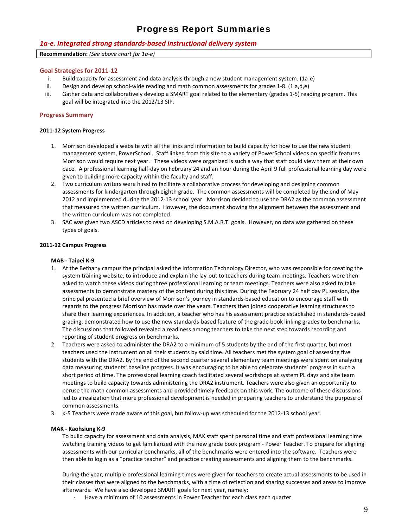## Progress Report Summaries

### *1a‐e. Integrated strong standards‐based instructional delivery system*

**Recommendation:** *(See above chart for 1a‐e)*

### **Goal Strategies for 2011‐12**

- i. Build capacity for assessment and data analysis through a new student management system. (1a‐e)
- ii. Design and develop school‐wide reading and math common assessments for grades 1‐8. (1.a,d,e)
- iii. Gather data and collaboratively develop a SMART goal related to the elementary (grades 1‐5) reading program. This goal will be integrated into the 2012/13 SIP.

### **Progress Summary**

#### **2011‐12 System Progress**

- 1. Morrison developed a website with all the links and information to build capacity for how to use the new student management system, PowerSchool. Staff linked from this site to a variety of PowerSchool videos on specific features Morrison would require next year. These videos were organized is such a way that staff could view them at their own pace. A professional learning half‐day on February 24 and an hour during the April 9 full professional learning day were given to building more capacity within the faculty and staff.
- 2. Two curriculum writers were hired to facilitate a collaborative process for developing and designing common assessments for kindergarten through eighth grade. The common assessments will be completed by the end of May 2012 and implemented during the 2012‐13 school year. Morrison decided to use the DRA2 as the common assessment that measured the written curriculum. However, the document showing the alignment between the assessment and the written curriculum was not completed.
- 3. SAC was given two ASCD articles to read on developing S.M.A.R.T. goals. However, no data was gathered on these types of goals.

#### **2011‐12 Campus Progress**

#### **MAB ‐ Taipei K‐9**

- 1. At the Bethany campus the principal asked the Information Technology Director, who was responsible for creating the system training website, to introduce and explain the lay-out to teachers during team meetings. Teachers were then asked to watch these videos during three professional learning or team meetings. Teachers were also asked to take assessments to demonstrate mastery of the content during this time. During the February 24 half day PL session, the principal presented a brief overview of Morrison's journey in standards‐based education to encourage staff with regards to the progress Morrison has made over the years. Teachers then joined cooperative learning structures to share their learning experiences. In addition, a teacher who has his assessment practice established in standards‐based grading, demonstrated how to use the new standards‐based feature of the grade book linking grades to benchmarks. The discussions that followed revealed a readiness among teachers to take the next step towards recording and reporting of student progress on benchmarks.
- 2. Teachers were asked to administer the DRA2 to a minimum of 5 students by the end of the first quarter, but most teachers used the instrument on all their students by said time. All teachers met the system goal of assessing five students with the DRA2. By the end of the second quarter several elementary team meetings were spent on analyzing data measuring students' baseline progress. It was encouraging to be able to celebrate students' progress in such a short period of time. The professional learning coach facilitated several workshops at system PL days and site team meetings to build capacity towards administering the DRA2 instrument. Teachers were also given an opportunity to peruse the math common assessments and provided timely feedback on this work. The outcome of these discussions led to a realization that more professional development is needed in preparing teachers to understand the purpose of common assessments.
- 3. K‐5 Teachers were made aware of this goal, but follow‐up was scheduled for the 2012‐13 school year.

#### **MAK ‐ Kaohsiung K‐9**

To build capacity for assessment and data analysis, MAK staff spent personal time and staff professional learning time watching training videos to get familiarized with the new grade book program ‐ Power Teacher. To prepare for aligning assessments with our curricular benchmarks, all of the benchmarks were entered into the software. Teachers were then able to login as a "practice teacher" and practice creating assessments and aligning them to the benchmarks.

During the year, multiple professional learning times were given for teachers to create actual assessments to be used in their classes that were aligned to the benchmarks, with a time of reflection and sharing successes and areas to improve afterwards. We have also developed SMART goals for next year, namely:

Have a minimum of 10 assessments in Power Teacher for each class each quarter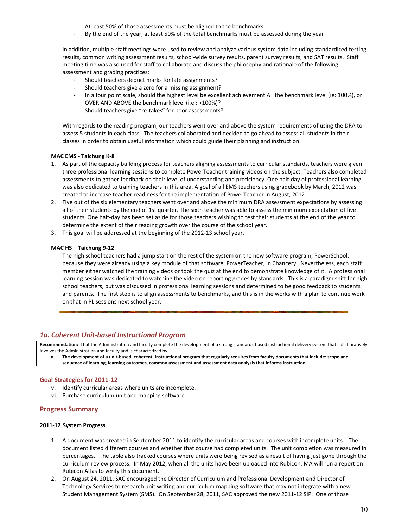- At least 50% of those assessments must be aligned to the benchmarks
- ‐ By the end of the year, at least 50% of the total benchmarks must be assessed during the year

In addition, multiple staff meetings were used to review and analyze various system data including standardized testing results, common writing assessment results, school‐wide survey results, parent survey results, and SAT results. Staff meeting time was also used for staff to collaborate and discuss the philosophy and rationale of the following assessment and grading practices:

- ‐ Should teachers deduct marks for late assignments?
- Should teachers give a zero for a missing assignment?
- In a four point scale, should the highest level be excellent achievement AT the benchmark level (ie: 100%), or OVER AND ABOVE the benchmark level (i.e.: >100%)?
- ‐ Should teachers give "re‐takes" for poor assessments?

With regards to the reading program, our teachers went over and above the system requirements of using the DRA to assess 5 students in each class. The teachers collaborated and decided to go ahead to assess all students in their classes in order to obtain useful information which could guide their planning and instruction.

#### **MAC EMS ‐ Taichung K‐8**

- 1. As part of the capacity building process for teachers aligning assessments to curricular standards, teachers were given three professional learning sessions to complete PowerTeacher training videos on the subject. Teachers also completed assessments to gather feedback on their level of understanding and proficiency. One half‐day of professional learning was also dedicated to training teachers in this area. A goal of all EMS teachers using gradebook by March, 2012 was created to increase teacher readiness for the implementation of PowerTeacher in August, 2012.
- 2. Five out of the six elementary teachers went over and above the minimum DRA assessment expectations by assessing all of their students by the end of 1st quarter. The sixth teacher was able to assess the minimum expectation of five students. One half‐day has been set aside for those teachers wishing to test their students at the end of the year to determine the extent of their reading growth over the course of the school year.
- 3. This goal will be addressed at the beginning of the 2012‐13 school year.

#### **MAC HS – Taichung 9‐12**

The high school teachers had a jump start on the rest of the system on the new software program, PowerSchool, because they were already using a key module of that software, PowerTeacher, in Chancery. Nevertheless, each staff member either watched the training videos or took the quiz at the end to demonstrate knowledge of it. A professional learning session was dedicated to watching the video on reporting grades by standards. This is a paradigm shift for high school teachers, but was discussed in professional learning sessions and determined to be good feedback to students and parents. The first step is to align assessments to benchmarks, and this is in the works with a plan to continue work on that in PL sessions next school year.

### *1a. Coherent Unit‐based Instructional Program*

Recommendation: That the Administration and faculty complete the development of a strong standards-based instructional delivery system that collaboratively involves the Administration and faculty and is characterized by:

a. The development of a unit-based, coherent, instructional program that regularly requires from faculty documents that include: scope and **sequence of learning, learning outcomes, common assessment and assessment data analysis that informs instruction.**

#### **Goal Strategies for 2011‐12**

- v. Identify curricular areas where units are incomplete.
- vi. Purchase curriculum unit and mapping software.

### **Progress Summary**

#### **2011‐12 System Progress**

- 1. A document was created in September 2011 to identify the curricular areas and courses with incomplete units. The document listed different courses and whether that course had completed units. The unit completion was measured in percentages. The table also tracked courses where units were being revised as a result of having just gone through the curriculum review process. In May 2012, when all the units have been uploaded into Rubicon, MA will run a report on Rubicon Atlas to verify this document.
- 2. On August 24, 2011, SAC encouraged the Director of Curriculum and Professional Development and Director of Technology Services to research unit writing and curriculum mapping software that may not integrate with a new Student Management System (SMS). On September 28, 2011, SAC approved the new 2011‐12 SIP. One of those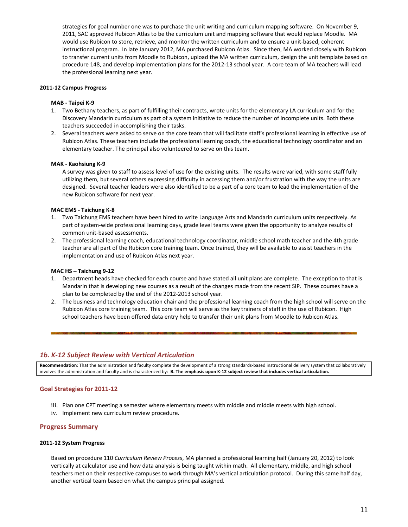strategies for goal number one was to purchase the unit writing and curriculum mapping software. On November 9, 2011, SAC approved Rubicon Atlas to be the curriculum unit and mapping software that would replace Moodle. MA would use Rubicon to store, retrieve, and monitor the written curriculum and to ensure a unit‐based, coherent instructional program. In late January 2012, MA purchased Rubicon Atlas. Since then, MA worked closely with Rubicon to transfer current units from Moodle to Rubicon, upload the MA written curriculum, design the unit template based on procedure 148, and develop implementation plans for the 2012‐13 school year. A core team of MA teachers will lead the professional learning next year.

### **2011‐12 Campus Progress**

#### **MAB ‐ Taipei K‐9**

- 1. Two Bethany teachers, as part of fulfilling their contracts, wrote units for the elementary LA curriculum and for the Discovery Mandarin curriculum as part of a system initiative to reduce the number of incomplete units. Both these teachers succeeded in accomplishing their tasks.
- 2. Several teachers were asked to serve on the core team that will facilitate staff's professional learning in effective use of Rubicon Atlas. These teachers include the professional learning coach, the educational technology coordinator and an elementary teacher. The principal also volunteered to serve on this team.

#### **MAK ‐ Kaohsiung K‐9**

A survey was given to staff to assess level of use for the existing units. The results were varied, with some staff fully utilizing them, but several others expressing difficulty in accessing them and/or frustration with the way the units are designed. Several teacher leaders were also identified to be a part of a core team to lead the implementation of the new Rubicon software for next year.

#### **MAC EMS ‐ Taichung K‐8**

- 1. Two Taichung EMS teachers have been hired to write Language Arts and Mandarin curriculum units respectively. As part of system-wide professional learning days, grade level teams were given the opportunity to analyze results of common unit‐based assessments.
- 2. The professional learning coach, educational technology coordinator, middle school math teacher and the 4th grade teacher are all part of the Rubicon core training team. Once trained, they will be available to assist teachers in the implementation and use of Rubicon Atlas next year.

#### **MAC HS – Taichung 9‐12**

- 1. Department heads have checked for each course and have stated all unit plans are complete. The exception to that is Mandarin that is developing new courses as a result of the changes made from the recent SIP. These courses have a plan to be completed by the end of the 2012‐2013 school year.
- 2. The business and technology education chair and the professional learning coach from the high school will serve on the Rubicon Atlas core training team. This core team will serve as the key trainers of staff in the use of Rubicon. High school teachers have been offered data entry help to transfer their unit plans from Moodle to Rubicon Atlas.

### *1b. K‐12 Subject Review with Vertical Articulation*

**Recommendation**: That the administration and faculty complete the development of a strong standards‐based instructional delivery system that collaboratively involves the administration and faculty and is characterized by: B. The emphasis upon K-12 subject review that includes vertical articulation.

### **Goal Strategies for 2011‐12**

- iii. Plan one CPT meeting a semester where elementary meets with middle and middle meets with high school.
- iv. Implement new curriculum review procedure.

### **Progress Summary**

#### **2011‐12 System Progress**

Based on procedure 110 *Curriculum Review Process*, MA planned a professional learning half (January 20, 2012) to look vertically at calculator use and how data analysis is being taught within math. All elementary, middle, and high school teachers met on their respective campuses to work through MA's vertical articulation protocol. During this same half day, another vertical team based on what the campus principal assigned.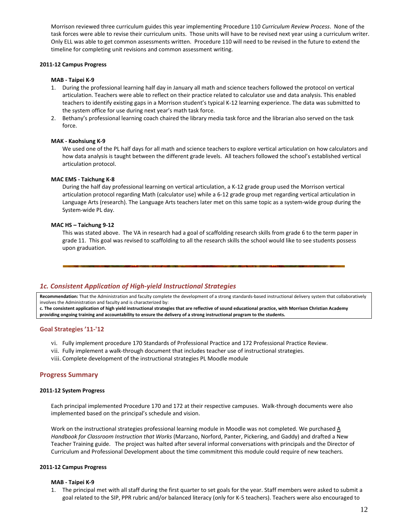Morrison reviewed three curriculum guides this year implementing Procedure 110 *Curriculum Review Process*. None of the task forces were able to revise their curriculum units. Those units will have to be revised next year using a curriculum writer. Only ELL was able to get common assessments written. Procedure 110 will need to be revised in the future to extend the timeline for completing unit revisions and common assessment writing.

#### **2011‐12 Campus Progress**

#### **MAB ‐ Taipei K‐9**

- 1. During the professional learning half day in January all math and science teachers followed the protocol on vertical articulation. Teachers were able to reflect on their practice related to calculator use and data analysis. This enabled teachers to identify existing gaps in a Morrison student's typical K‐12 learning experience. The data was submitted to the system office for use during next year's math task force.
- 2. Bethany's professional learning coach chaired the library media task force and the librarian also served on the task force.

#### **MAK ‐ Kaohsiung K‐9**

We used one of the PL half days for all math and science teachers to explore vertical articulation on how calculators and how data analysis is taught between the different grade levels. All teachers followed the school's established vertical articulation protocol.

#### **MAC EMS ‐ Taichung K‐8**

During the half day professional learning on vertical articulation, a K‐12 grade group used the Morrison vertical articulation protocol regarding Math (calculator use) while a 6‐12 grade group met regarding vertical articulation in Language Arts (research). The Language Arts teachers later met on this same topic as a system-wide group during the System‐wide PL day.

#### **MAC HS – Taichung 9‐12**

This was stated above. The VA in research had a goal of scaffolding research skills from grade 6 to the term paper in grade 11. This goal was revised to scaffolding to all the research skills the school would like to see students possess upon graduation.

### *1c. Consistent Application of High‐yield Instructional Strategies*

Recommendation: That the Administration and faculty complete the development of a strong standards-based instructional delivery system that collaboratively involves the Administration and faculty and is characterized by:

c. The consistent application of high yield instructional strategies that are reflective of sound educational practice, with Morrison Christian Academy providing ongoing training and accountability to ensure the delivery of a strong instructional program to the students.

#### **Goal Strategies '11‐'12**

- vi. Fully implement procedure 170 Standards of Professional Practice and 172 Professional Practice Review.
- vii. Fully implement a walk‐through document that includes teacher use of instructional strategies.
- viii. Complete development of the instructional strategies PL Moodle module

### **Progress Summary**

#### **2011‐12 System Progress**

Each principal implemented Procedure 170 and 172 at their respective campuses. Walk‐through documents were also implemented based on the principal's schedule and vision.

Work on the instructional strategies professional learning module in Moodle was not completed. We purchased A *Handbook for Classroom Instruction that Works* (Marzano, Norford, Panter, Pickering, and Gaddy) and drafted a New Teacher Training guide. The project was halted after several informal conversations with principals and the Director of Curriculum and Professional Development about the time commitment this module could require of new teachers.

#### **2011‐12 Campus Progress**

#### **MAB ‐ Taipei K‐9**

1. The principal met with all staff during the first quarter to set goals for the year. Staff members were asked to submit a goal related to the SIP, PPR rubric and/or balanced literacy (only for K‐5 teachers). Teachers were also encouraged to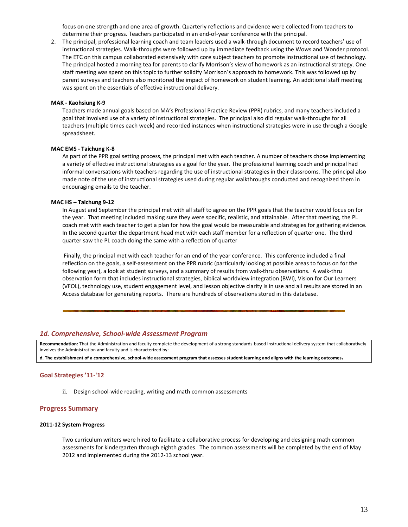focus on one strength and one area of growth. Quarterly reflections and evidence were collected from teachers to determine their progress. Teachers participated in an end‐of‐year conference with the principal.

2. The principal, professional learning coach and team leaders used a walk-through document to record teachers' use of instructional strategies. Walk‐throughs were followed up by immediate feedback using the Wows and Wonder protocol. The ETC on this campus collaborated extensively with core subject teachers to promote instructional use of technology. The principal hosted a morning tea for parents to clarify Morrison's view of homework as an instructional strategy. One staff meeting was spent on this topic to further solidify Morrison's approach to homework. This was followed up by parent surveys and teachers also monitored the impact of homework on student learning. An additional staff meeting was spent on the essentials of effective instructional delivery.

#### **MAK ‐ Kaohsiung K‐9**

Teachers made annual goals based on MA's Professional Practice Review (PPR) rubrics, and many teachers included a goal that involved use of a variety of instructional strategies. The principal also did regular walk‐throughs for all teachers (multiple times each week) and recorded instances when instructional strategies were in use through a Google spreadsheet.

#### **MAC EMS ‐ Taichung K‐8**

As part of the PPR goal setting process, the principal met with each teacher. A number of teachers chose implementing a variety of effective instructional strategies as a goal for the year. The professional learning coach and principal had informal conversations with teachers regarding the use of instructional strategies in their classrooms. The principal also made note of the use of instructional strategies used during regular walkthroughs conducted and recognized them in encouraging emails to the teacher.

#### **MAC HS – Taichung 9‐12**

In August and September the principal met with all staff to agree on the PPR goals that the teacher would focus on for the year. That meeting included making sure they were specific, realistic, and attainable. After that meeting, the PL coach met with each teacher to get a plan for how the goal would be measurable and strategies for gathering evidence. In the second quarter the department head met with each staff member for a reflection of quarter one. The third quarter saw the PL coach doing the same with a reflection of quarter

Finally, the principal met with each teacher for an end of the year conference. This conference included a final reflection on the goals, a self‐assessment on the PPR rubric (particularly looking at possible areas to focus on for the following year), a look at student surveys, and a summary of results from walk‐thru observations. A walk‐thru observation form that includes instructional strategies, biblical worldview integration (BWI), Vision for Our Learners (VFOL), technology use, student engagement level, and lesson objective clarity is in use and all results are stored in an Access database for generating reports. There are hundreds of observations stored in this database.

#### *1d. Comprehensive, School‐wide Assessment Program*

Recommendation: That the Administration and faculty complete the development of a strong standards-based instructional delivery system that collaboratively involves the Administration and faculty and is characterized by:

d. The establishment of a comprehensive, school-wide assessment program that assesses student learning and aligns with the learning outcomes.

#### **Goal Strategies '11‐'12**

ii. Design school-wide reading, writing and math common assessments

### **Progress Summary**

#### **2011‐12 System Progress**

Two curriculum writers were hired to facilitate a collaborative process for developing and designing math common assessments for kindergarten through eighth grades. The common assessments will be completed by the end of May 2012 and implemented during the 2012‐13 school year.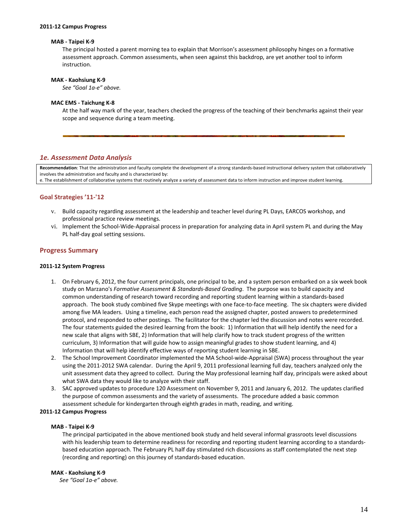#### **2011‐12 Campus Progress**

#### **MAB ‐ Taipei K‐9**

The principal hosted a parent morning tea to explain that Morrison's assessment philosophy hinges on a formative assessment approach. Common assessments, when seen against this backdrop, are yet another tool to inform instruction.

#### **MAK ‐ Kaohsiung K‐9**

*See "Goal 1a‐e" above.*

#### **MAC EMS ‐ Taichung K‐8**

At the half way mark of the year, teachers checked the progress of the teaching of their benchmarks against their year scope and sequence during a team meeting.

### *1e. Assessment Data Analysis*

**Recommendation**: That the administration and faculty complete the development of a strong standards‐based instructional delivery system that collaboratively involves the administration and faculty and is characterized by: e. The establishment of collaborative systems that routinely analyze a variety of assessment data to inform instruction and improve student learning.

#### **Goal Strategies '11‐'12**

- v. Build capacity regarding assessment at the leadership and teacher level during PL Days, EARCOS workshop, and professional practice review meetings.
- vi. Implement the School‐Wide‐Appraisal process in preparation for analyzing data in April system PL and during the May PL half‐day goal setting sessions.

#### **Progress Summary**

#### **2011‐12 System Progress**

- 1. On February 6, 2012, the four current principals, one principal to be, and a system person embarked on a six week book study on Marzano's *Formative Assessment & Standards‐Based Grading*. The purpose was to build capacity and common understanding of research toward recording and reporting student learning within a standards‐based approach. The book study combined five Skype meetings with one face-to-face meeting. The six chapters were divided among five MA leaders. Using a timeline, each person read the assigned chapter, posted answers to predetermined protocol, and responded to other postings. The facilitator for the chapter led the discussion and notes were recorded. The four statements guided the desired learning from the book: 1) Information that will help identify the need for a new scale that aligns with SBE, 2) Information that will help clarify how to track student progress of the written curriculum, 3) Information that will guide how to assign meaningful grades to show student learning, and 4) Information that will help identify effective ways of reporting student learning in SBE.
- 2. The School Improvement Coordinator implemented the MA School-wide-Appraisal (SWA) process throughout the year using the 2011‐2012 SWA calendar. During the April 9, 2011 professional learning full day, teachers analyzed only the unit assessment data they agreed to collect. During the May professional learning half day, principals were asked about what SWA data they would like to analyze with their staff.
- 3. SAC approved updates to procedure 120 Assessment on November 9, 2011 and January 6, 2012. The updates clarified the purpose of common assessments and the variety of assessments. The procedure added a basic common assessment schedule for kindergarten through eighth grades in math, reading, and writing.

#### **2011‐12 Campus Progress**

#### **MAB ‐ Taipei K‐9**

The principal participated in the above mentioned book study and held several informal grassroots level discussions with his leadership team to determine readiness for recording and reporting student learning according to a standards‐ based education approach. The February PL half day stimulated rich discussions as staff contemplated the next step (recording and reporting) on this journey of standards‐based education.

#### **MAK ‐ Kaohsiung K‐9**

 *See "Goal 1a‐e" above.*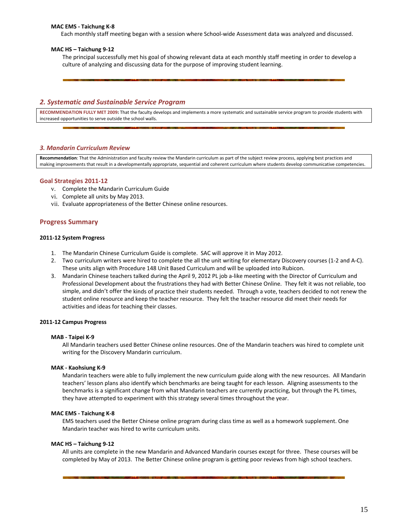#### **MAC EMS ‐ Taichung K‐8**

Each monthly staff meeting began with a session where School‐wide Assessment data was analyzed and discussed.

#### **MAC HS – Taichung 9‐12**

The principal successfully met his goal of showing relevant data at each monthly staff meeting in order to develop a culture of analyzing and discussing data for the purpose of improving student learning.

#### *2. Systematic and Sustainable Service Program*

**RECOMMENDATION FULLY MET 2009:** That the faculty develops and implements a more systematic and sustainable service program to provide students with increased opportunities to serve outside the school walls.

#### *3. Mandarin Curriculum Review*

**Recommendation**: That the Administration and faculty review the Mandarin curriculum as part of the subject review process, applying best practices and making improvements that result in a developmentally appropriate, sequential and coherent curriculum where students develop communicative competencies.

#### **Goal Strategies 2011‐12**

- v. Complete the Mandarin Curriculum Guide
- vi. Complete all units by May 2013.
- vii. Evaluate appropriateness of the Better Chinese online resources.

#### **Progress Summary**

#### **2011‐12 System Progress**

- 1. The Mandarin Chinese Curriculum Guide is complete. SAC will approve it in May 2012.
- 2. Two curriculum writers were hired to complete the all the unit writing for elementary Discovery courses (1‐2 and A‐C). These units align with Procedure 148 Unit Based Curriculum and will be uploaded into Rubicon.
- 3. Mandarin Chinese teachers talked during the April 9, 2012 PL job a‐like meeting with the Director of Curriculum and Professional Development about the frustrations they had with Better Chinese Online. They felt it was not reliable, too simple, and didn't offer the kinds of practice their students needed. Through a vote, teachers decided to not renew the student online resource and keep the teacher resource. They felt the teacher resource did meet their needs for activities and ideas for teaching their classes.

#### **2011‐12 Campus Progress**

#### **MAB ‐ Taipei K‐9**

All Mandarin teachers used Better Chinese online resources. One of the Mandarin teachers was hired to complete unit writing for the Discovery Mandarin curriculum.

#### **MAK ‐ Kaohsiung K‐9**

Mandarin teachers were able to fully implement the new curriculum guide along with the new resources. All Mandarin teachers' lesson plans also identify which benchmarks are being taught for each lesson. Aligning assessments to the benchmarks is a significant change from what Mandarin teachers are currently practicing, but through the PL times, they have attempted to experiment with this strategy several times throughout the year.

#### **MAC EMS ‐ Taichung K‐8**

EMS teachers used the Better Chinese online program during class time as well as a homework supplement. One Mandarin teacher was hired to write curriculum units.

#### **MAC HS – Taichung 9‐12**

All units are complete in the new Mandarin and Advanced Mandarin courses except for three. These courses will be completed by May of 2013. The Better Chinese online program is getting poor reviews from high school teachers.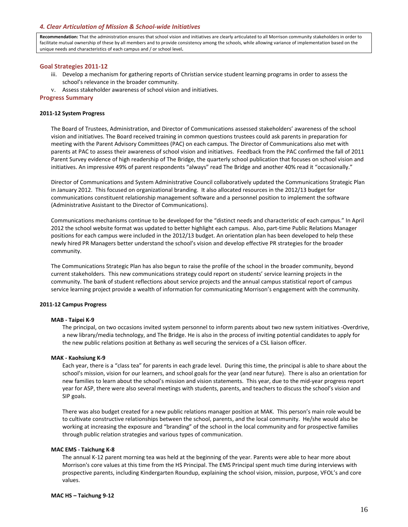#### *4. Clear Articulation of Mission & School‐wide Initiatives*

**Recommendation:** That the administration ensures that school vision and initiatives are clearly articulated to all Morrison community stakeholders in order to facilitate mutual ownership of these by all members and to provide consistency among the schools, while allowing variance of implementation based on the unique needs and characteristics of each campus and / or school level**.**

#### **Goal Strategies 2011‐12**

- iii. Develop a mechanism for gathering reports of Christian service student learning programs in order to assess the school's relevance in the broader community.
- v. Assess stakeholder awareness of school vision and initiatives.

#### **Progress Summary**

#### **2011‐12 System Progress**

The Board of Trustees, Administration, and Director of Communications assessed stakeholders' awareness of the school vision and initiatives. The Board received training in common questions trustees could ask parents in preparation for meeting with the Parent Advisory Committees (PAC) on each campus. The Director of Communications also met with parents at PAC to assess their awareness of school vision and initiatives. Feedback from the PAC confirmed the fall of 2011 Parent Survey evidence of high readership of The Bridge, the quarterly school publication that focuses on school vision and initiatives. An impressive 49% of parent respondents "always" read The Bridge and another 40% read it "occasionally."

Director of Communications and System Administrative Council collaboratively updated the Communications Strategic Plan in January 2012. This focused on organizational branding. It also allocated resources in the 2012/13 budget for communications constituent relationship management software and a personnel position to implement the software (Administrative Assistant to the Director of Communications).

Communications mechanisms continue to be developed for the "distinct needs and characteristic of each campus." In April 2012 the school website format was updated to better highlight each campus. Also, part-time Public Relations Manager positions for each campus were included in the 2012/13 budget. An orientation plan has been developed to help these newly hired PR Managers better understand the school's vision and develop effective PR strategies for the broader community.

The Communications Strategic Plan has also begun to raise the profile of the school in the broader community, beyond current stakeholders. This new communications strategy could report on students' service learning projects in the community. The bank of student reflections about service projects and the annual campus statistical report of campus service learning project provide a wealth of information for communicating Morrison's engagement with the community.

#### **2011‐12 Campus Progress**

#### **MAB ‐ Taipei K‐9**

The principal, on two occasions invited system personnel to inform parents about two new system initiatives ‐Overdrive, a new library/media technology, and The Bridge. He is also in the process of inviting potential candidates to apply for the new public relations position at Bethany as well securing the services of a CSL liaison officer.

#### **MAK ‐ Kaohsiung K‐9**

Each year, there is a "class tea" for parents in each grade level. During this time, the principal is able to share about the school's mission, vision for our learners, and school goals for the year (and near future). There is also an orientation for new families to learn about the school's mission and vision statements. This year, due to the mid‐year progress report year for ASP, there were also several meetings with students, parents, and teachers to discuss the school's vision and SIP goals.

There was also budget created for a new public relations manager position at MAK. This person's main role would be to cultivate constructive relationships between the school, parents, and the local community. He/she would also be working at increasing the exposure and "branding" of the school in the local community and for prospective families through public relation strategies and various types of communication.

#### **MAC EMS ‐ Taichung K‐8**

The annual K‐12 parent morning tea was held at the beginning of the year. Parents were able to hear more about Morrison's core values at this time from the HS Principal. The EMS Principal spent much time during interviews with prospective parents, including Kindergarten Roundup, explaining the school vision, mission, purpose, VFOL's and core values.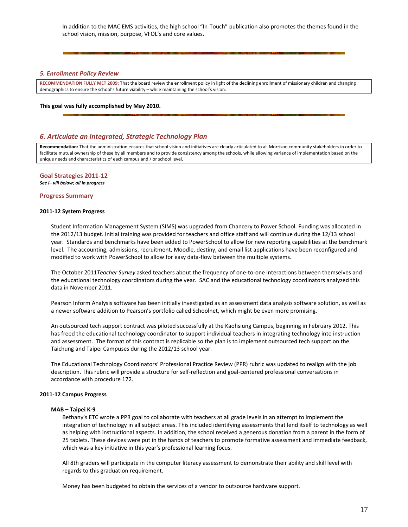In addition to the MAC EMS activities, the high school "In-Touch" publication also promotes the themes found in the school vision, mission, purpose, VFOL's and core values.

#### *5. Enrollment Policy Review*

**RECOMMENDATION FULLY MET 2009:** That the board review the enrollment policy in light of the declining enrollment of missionary children and changing demographics to ensure the school's future viability – while maintaining the school's vision.

#### **This goal was fully accomplished by May 2010.**

### *6. Articulate an Integrated, Strategic Technology Plan*

**Recommendation:** That the administration ensures that school vision and initiatives are clearly articulated to all Morrison community stakeholders in order to facilitate mutual ownership of these by all members and to provide consistency among the schools, while allowing variance of implementation based on the unique needs and characteristics of each campus and / or school level**.**

### **Goal Strategies 2011‐12**

*See i– viii below; all in progress*

#### **Progress Summary**

#### **2011‐12 System Progress**

Student Information Management System (SIMS) was upgraded from Chancery to Power School. Funding was allocated in the 2012/13 budget. Initial training was provided for teachers and office staff and will continue during the 12/13 school year. Standards and benchmarks have been added to PowerSchool to allow for new reporting capabilities at the benchmark level. The accounting, admissions, recruitment, Moodle, destiny, and email list applications have been reconfigured and modified to work with PowerSchool to allow for easy data‐flow between the multiple systems.

The October 2011*Teacher Survey* asked teachers about the frequency of one‐to‐one interactions between themselves and the educational technology coordinators during the year. SAC and the educational technology coordinators analyzed this data in November 2011.

Pearson Inform Analysis software has been initially investigated as an assessment data analysis software solution, as well as a newer software addition to Pearson's portfolio called Schoolnet, which might be even more promising.

An outsourced tech support contract was piloted successfully at the Kaohsiung Campus, beginning in February 2012. This has freed the educational technology coordinator to support individual teachers in integrating technology into instruction and assessment. The format of this contract is replicable so the plan is to implement outsourced tech support on the Taichung and Taipei Campuses during the 2012/13 school year.

The Educational Technology Coordinators' Professional Practice Review (PPR) rubric was updated to realign with the job description. This rubric will provide a structure for self-reflection and goal-centered professional conversations in accordance with procedure 172.

#### **2011‐12 Campus Progress**

#### **MAB – Taipei K‐9**

Bethany's ETC wrote a PPR goal to collaborate with teachers at all grade levels in an attempt to implement the integration of technology in all subject areas. This included identifying assessments that lend itself to technology as well as helping with instructional aspects. In addition, the school received a generous donation from a parent in the form of 25 tablets. These devices were put in the hands of teachers to promote formative assessment and immediate feedback, which was a key initiative in this year's professional learning focus.

All 8th graders will participate in the computer literacy assessment to demonstrate their ability and skill level with regards to this graduation requirement.

Money has been budgeted to obtain the services of a vendor to outsource hardware support.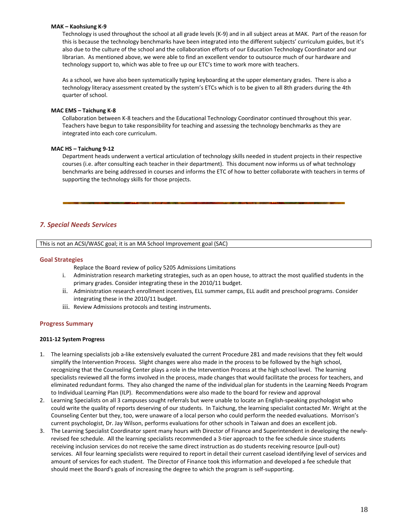#### **MAK – Kaohsiung K‐9**

Technology is used throughout the school at all grade levels (K‐9) and in all subject areas at MAK. Part of the reason for this is because the technology benchmarks have been integrated into the different subjects' curriculum guides, but it's also due to the culture of the school and the collaboration efforts of our Education Technology Coordinator and our librarian. As mentioned above, we were able to find an excellent vendor to outsource much of our hardware and technology support to, which was able to free up our ETC's time to work more with teachers.

As a school, we have also been systematically typing keyboarding at the upper elementary grades. There is also a technology literacy assessment created by the system's ETCs which is to be given to all 8th graders during the 4th quarter of school.

#### **MAC EMS – Taichung K‐8**

Collaboration between K‐8 teachers and the Educational Technology Coordinator continued throughout this year. Teachers have begun to take responsibility for teaching and assessing the technology benchmarks as they are integrated into each core curriculum.

#### **MAC HS – Taichung 9‐12**

Department heads underwent a vertical articulation of technology skills needed in student projects in their respective courses (i.e. after consulting each teacher in their department). This document now informs us of what technology benchmarks are being addressed in courses and informs the ETC of how to better collaborate with teachers in terms of supporting the technology skills for those projects.

## *7. Special Needs Services*

This is not an ACSI/WASC goal; it is an MA School Improvement goal (SAC)

### **Goal Strategies**

Replace the Board review of policy 5205 Admissions Limitations

- i. Administration research marketing strategies, such as an open house, to attract the most qualified students in the primary grades. Consider integrating these in the 2010/11 budget.
- ii. Administration research enrollment incentives, ELL summer camps, ELL audit and preschool programs. Consider integrating these in the 2010/11 budget.
- iii. Review Admissions protocols and testing instruments.

### **Progress Summary**

### **2011‐12 System Progress**

- 1. The learning specialists job a‐like extensively evaluated the current Procedure 281 and made revisions that they felt would simplify the Intervention Process. Slight changes were also made in the process to be followed by the high school, recognizing that the Counseling Center plays a role in the Intervention Process at the high school level. The learning specialists reviewed all the forms involved in the process, made changes that would facilitate the process for teachers, and eliminated redundant forms. They also changed the name of the individual plan for students in the Learning Needs Program to Individual Learning Plan (ILP). Recommendations were also made to the board for review and approval
- 2. Learning Specialists on all 3 campuses sought referrals but were unable to locate an English‐speaking psychologist who could write the quality of reports deserving of our students. In Taichung, the learning specialist contacted Mr. Wright at the Counseling Center but they, too, were unaware of a local person who could perform the needed evaluations. Morrison's current psychologist, Dr. Jay Wilson, performs evaluations for other schools in Taiwan and does an excellent job.
- 3. The Learning Specialist Coordinator spent many hours with Director of Finance and Superintendent in developing the newly‐ revised fee schedule. All the learning specialists recommended a 3-tier approach to the fee schedule since students receiving inclusion services do not receive the same direct instruction as do students receiving resource (pull‐out) services. All four learning specialists were required to report in detail their current caseload identifying level of services and amount of services for each student. The Director of Finance took this information and developed a fee schedule that should meet the Board's goals of increasing the degree to which the program is self-supporting.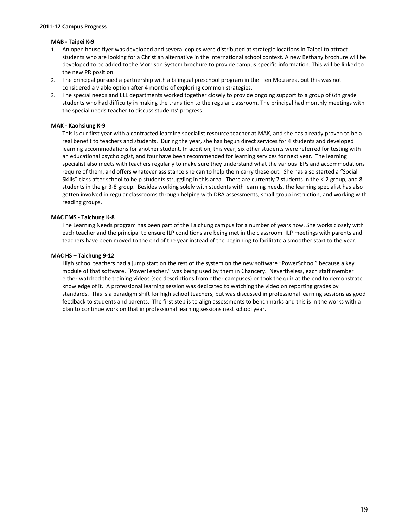#### **2011‐12 Campus Progress**

#### **MAB ‐ Taipei K‐9**

- 1. An open house flyer was developed and several copies were distributed at strategic locations in Taipei to attract students who are looking for a Christian alternative in the international school context. A new Bethany brochure will be developed to be added to the Morrison System brochure to provide campus‐specific information. This will be linked to the new PR position.
- 2. The principal pursued a partnership with a bilingual preschool program in the Tien Mou area, but this was not considered a viable option after 4 months of exploring common strategies.
- 3. The special needs and ELL departments worked together closely to provide ongoing support to a group of 6th grade students who had difficulty in making the transition to the regular classroom. The principal had monthly meetings with the special needs teacher to discuss students' progress.

#### **MAK ‐ Kaohsiung K‐9**

This is our first year with a contracted learning specialist resource teacher at MAK, and she has already proven to be a real benefit to teachers and students. During the year, she has begun direct services for 4 students and developed learning accommodations for another student. In addition, this year, six other students were referred for testing with an educational psychologist, and four have been recommended for learning services for next year. The learning specialist also meets with teachers regularly to make sure they understand what the various IEPs and accommodations require of them, and offers whatever assistance she can to help them carry these out. She has also started a "Social Skills" class after school to help students struggling in this area. There are currently 7 students in the K‐2 group, and 8 students in the gr 3‐8 group. Besides working solely with students with learning needs, the learning specialist has also gotten involved in regular classrooms through helping with DRA assessments, small group instruction, and working with reading groups.

#### **MAC EMS ‐ Taichung K‐8**

The Learning Needs program has been part of the Taichung campus for a number of years now. She works closely with each teacher and the principal to ensure ILP conditions are being met in the classroom. ILP meetings with parents and teachers have been moved to the end of the year instead of the beginning to facilitate a smoother start to the year.

#### **MAC HS – Taichung 9‐12**

High school teachers had a jump start on the rest of the system on the new software "PowerSchool" because a key module of that software, "PowerTeacher," was being used by them in Chancery. Nevertheless, each staff member either watched the training videos (see descriptions from other campuses) or took the quiz at the end to demonstrate knowledge of it. A professional learning session was dedicated to watching the video on reporting grades by standards. This is a paradigm shift for high school teachers, but was discussed in professional learning sessions as good feedback to students and parents. The first step is to align assessments to benchmarks and this is in the works with a plan to continue work on that in professional learning sessions next school year.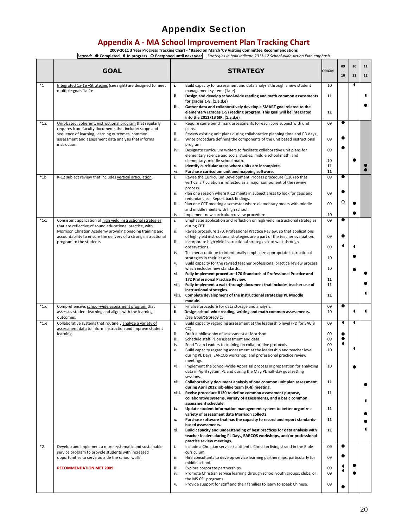## Appendix Section

## **Appendix A ‐ MA School Improvement Plan Tracking Chart**

**2009‐2011 3 Year Progress Tracking Chart ‐ \*Based on March '09 Visiting Committee Recommendations**

Legend: Completed In progress O Postponed until next year Strategies in bold indicate 2011-12 School-wide Action Plan emphasis

|         | <b>GOAL</b>                                                                                                                                                                                                                                              | <b>STRATEGY</b>                                                                                                                                                                                                                                                                                                                                          | ORIGIN                     | 09<br>$\overline{a}$<br>10 | 10<br>11       | 11<br>$\overline{a}$<br>$12$ |
|---------|----------------------------------------------------------------------------------------------------------------------------------------------------------------------------------------------------------------------------------------------------------|----------------------------------------------------------------------------------------------------------------------------------------------------------------------------------------------------------------------------------------------------------------------------------------------------------------------------------------------------------|----------------------------|----------------------------|----------------|------------------------------|
| $*_{1}$ | Integrated 1a-1e -Strategies (see right) are designed to meet<br>multiple goals 1a-1e                                                                                                                                                                    | i.<br>Build capacity for assessment and data analysis through a new student<br>management system. (1a-e)<br>ii.<br>Design and develop school-wide reading and math common assessments                                                                                                                                                                    | 10<br>11                   |                            | 1              | ◀                            |
|         |                                                                                                                                                                                                                                                          | for grades $1-8.$ $(1.a,d,e)$<br>Gather data and collaboratively develop a SMART goal related to the<br>iii.<br>elementary (grades 1-5) reading program. This goal will be integrated<br>into the 2012/13 SIP. (1.a,d,e)                                                                                                                                 | 11                         |                            |                |                              |
| $*1a.$  | Unit-based, coherent, instructional program that regularly<br>requires from faculty documents that include: scope and<br>sequence of learning, learning outcomes, common<br>assessment and assessment data analysis that informs                         | Require same benchmark assessments for each core subject with unit<br>i.<br>plans.<br>ii.<br>Review existing unit plans during collaborative planning time and PD days.<br>iii.<br>Write procedure defining the components of the unit based instructional                                                                                               | 09<br>09                   | $\bullet$                  |                |                              |
|         | instruction                                                                                                                                                                                                                                              | program<br>iv.<br>Designate curriculum writers to facilitate collaborative unit plans for<br>elementary science and social studies, middle school math, and<br>elementary, middle school math.                                                                                                                                                           | 09<br>10                   |                            |                |                              |
|         |                                                                                                                                                                                                                                                          | $\mathbf{v}_\bullet$<br>Identify curricular areas where units are incomplete.<br>vi.<br>Purchase curriculum unit and mapping software.                                                                                                                                                                                                                   | 11<br>11                   |                            |                |                              |
| $*1b$   | K-12 subject review that includes vertical articulation.                                                                                                                                                                                                 | Revise the Curriculum Development Process procedure (110) so that<br>i.<br>vertical articulation is reflected as a major component of the review<br>process.                                                                                                                                                                                             | 09                         | $\bullet$                  |                |                              |
|         |                                                                                                                                                                                                                                                          | ii.<br>Plan one session where K-12 meets in subject areas to look for gaps and<br>redundancies. Report back findings.<br>iii.<br>Plan one CPT meeting a semester where elementary meets with middle                                                                                                                                                      | 09<br>09                   | O                          |                |                              |
|         |                                                                                                                                                                                                                                                          | and middle meets with high school.<br>iv.<br>Implement new curriculum review procedure                                                                                                                                                                                                                                                                   | 10                         |                            |                |                              |
| $*1c.$  | Consistent application of high yield instructional strategies<br>that are reflective of sound educational practice, with<br>Morrison Christian Academy providing ongoing training and<br>accountability to ensure the delivery of a strong instructional | i.<br>Emphasize application and reflection on high yield instructional strategies<br>during CPT.<br>ii.<br>Revise procedure 170, Professional Practice Review, so that applications<br>of high yield instructional strategies are a part of the teacher evaluation.<br>iii.                                                                              | 09<br>09                   | $\bullet$                  |                |                              |
|         | program to the students                                                                                                                                                                                                                                  | Incorporate high yield instructional strategies into walk through<br>observations.<br>iv.<br>Teachers continue to intentionally emphasize appropriate instructional<br>strategies in their lessons.<br>Build capacity for the revised teacher professional practice review process<br>V.                                                                 | 09<br>10                   |                            |                |                              |
|         |                                                                                                                                                                                                                                                          | which includes new standards.<br>vi.<br>Fully implement procedure 170 Standards of Professional Practice and<br>172 Professional Practice Review.                                                                                                                                                                                                        | 10<br>11                   |                            |                |                              |
|         |                                                                                                                                                                                                                                                          | Fully implement a walk-through document that includes teacher use of<br>vii.<br>instructional strategies.<br>viii. Complete development of the instructional strategies PL Moodle<br>module.                                                                                                                                                             | 11<br>11                   |                            |                |                              |
| $*1.d$  | Comprehensive, school-wide assessment program that<br>assesses student learning and aligns with the learning<br>outcomes.                                                                                                                                | i.<br>Finalize procedure for data storage and analysis.<br>ii.<br>Design school-wide reading, writing and math common assessments.<br>(See Goal/Strategy 1)                                                                                                                                                                                              | 09<br>10                   | $\bullet$                  |                | $\blacksquare$               |
| $*1.e$  | Collaborative systems that routinely analyze a variety of<br>assessment data to inform instruction and improve student<br>learning.                                                                                                                      | Build capacity regarding assessment at the leadership level (PD for SAC &<br>i.<br>CC).<br>ii.<br>Draft a philosophy of assessment at Morrison<br>iii.<br>Schedule staff PL on assessment and data.<br>iv.<br>Send Team Leaders to training on collaborative protocols.<br>Build capacity regarding assessment at the leadership and teacher level<br>ν. | 09<br>09<br>09<br>09<br>10 | ◀                          | $\blacksquare$ |                              |
|         |                                                                                                                                                                                                                                                          | during PL Days, EARCOS workshop, and professional practice review<br>meetings.<br>Implement the School-Wide-Appraisal process in preparation for analyzing<br>vi.<br>data in April system PL and during the May PL half-day goal setting                                                                                                                 | 10                         |                            |                |                              |
|         |                                                                                                                                                                                                                                                          | sessions.<br>vii.<br>Collaboratively document analysis of one common unit plan assessment<br>during April 2012 job-alike team (K-8) meeting.<br>viii. Revise procedure #120 to define common assessment purpose,                                                                                                                                         | 11<br>11                   |                            |                |                              |
|         |                                                                                                                                                                                                                                                          | collaborative systems, variety of assessments, and a basic common<br>assessment schedule.<br>Update student information management system to better organize a<br>ix.                                                                                                                                                                                    | 11                         |                            |                |                              |
|         |                                                                                                                                                                                                                                                          | variety of assessment data Morrison collects.<br>Purchase software that has the capacity to record and report standards-<br>x.<br>based assessments.                                                                                                                                                                                                     | 11                         |                            |                |                              |
|         |                                                                                                                                                                                                                                                          | Build capacity and understanding of best practices for data analysis with<br>xi.<br>teacher leaders during PL Days, EARCOS workshops, and/or professional<br>practice review meetings.                                                                                                                                                                   | 11                         |                            |                |                              |
| *2.     | Develop and implement a more systematic and sustainable<br>service program to provide students with increased<br>opportunities to serve outside the school walls.                                                                                        | Include a Christian service / authentic Christian living strand in the Bible<br>i.<br>curriculum.<br>ii.<br>Hire consultants to develop service learning partnerships, particularly for                                                                                                                                                                  | 09<br>09                   |                            |                |                              |
|         | <b>RECOMMENDATION MET 2009</b>                                                                                                                                                                                                                           | middle school.<br>iii.<br>Explore corporate partnerships.<br>Promote Christian service learning through school youth groups, clubs, or<br>iv.                                                                                                                                                                                                            | 09<br>09                   | ◀<br>$\blacksquare$        |                |                              |
|         |                                                                                                                                                                                                                                                          | the MS CSL programs.<br>Provide support for staff and their families to learn to speak Chinese.<br>v.                                                                                                                                                                                                                                                    | 09                         |                            |                |                              |

 $\overline{a}$  $\overline{\phantom{a}}$  $\overline{\phantom{0}}$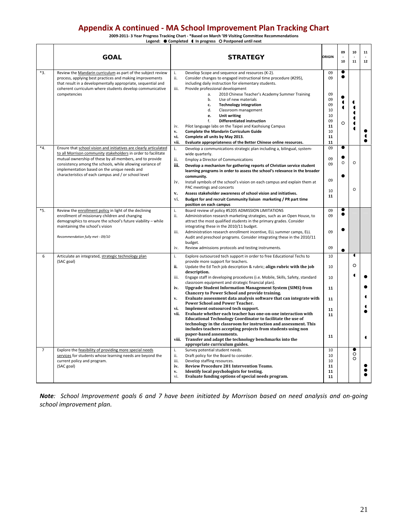## **Appendix A continued ‐ MA School Improvement Plan Tracking Chart**

2009-2011- 3 Year Progress Tracking Chart - \*Based on March '09 Visiting Committee Recommendations<br>Legend: ● Completed (In progress ) O Postponed until next

|                     | <b>GOAL</b>                                                                                                                                                                                                                                                                                                                                                         | <b>STRATEGY</b>                                                                                                                                                                                                                                                                                                                                                                                                                                                                                                                                                                                                                                                                                                                                                                                                                                                                                                                                                                                                                                                                                                                                                                                             | ORIGIN                                                         | 09<br>10       | 10<br>11               | 11<br>$12\,$ |
|---------------------|---------------------------------------------------------------------------------------------------------------------------------------------------------------------------------------------------------------------------------------------------------------------------------------------------------------------------------------------------------------------|-------------------------------------------------------------------------------------------------------------------------------------------------------------------------------------------------------------------------------------------------------------------------------------------------------------------------------------------------------------------------------------------------------------------------------------------------------------------------------------------------------------------------------------------------------------------------------------------------------------------------------------------------------------------------------------------------------------------------------------------------------------------------------------------------------------------------------------------------------------------------------------------------------------------------------------------------------------------------------------------------------------------------------------------------------------------------------------------------------------------------------------------------------------------------------------------------------------|----------------------------------------------------------------|----------------|------------------------|--------------|
| *3.                 | Review the Mandarin curriculum as part of the subject review<br>process, applying best practices and making improvements<br>that result in a developmentally appropriate, sequential and<br>coherent curriculum where students develop communicative<br>competencies                                                                                                | Develop Scope and sequence and resources (K-2).<br>i.<br>ii.<br>Consider changes to engaged instructional time procedure (#295),<br>including daily instruction for elementary students.<br>iii.<br>Provide professional development<br>2010 Chinese Teacher's Academy Summer Training<br>a.<br>b.<br>Use of new materials<br><b>Technology integration</b><br>c.<br>d.<br>Classroom management<br>Unit writing<br>e.<br><b>Differentiated instruction</b><br>f.<br>Pilot language labs on the Taipei and Kaohsiung Campus<br>iv.<br><b>Complete the Mandarin Curriculum Guide</b><br>$\mathbf{v}$ .<br>vi.<br>Complete all units by May 2013.                                                                                                                                                                                                                                                                                                                                                                                                                                                                                                                                                              | 09<br>09<br>09<br>09<br>09<br>10<br>10<br>09<br>11<br>10<br>11 | $\circ$        |                        |              |
| $*_{4.}$            | Ensure that school vision and initiatives are clearly articulated<br>to all Morrison community stakeholders in order to facilitate<br>mutual ownership of these by all members, and to provide<br>consistency among the schools, while allowing variance of<br>implementation based on the unique needs and<br>characteristics of each campus and / or school level | Evaluate appropriateness of the Better Chinese online resources.<br>vii.<br>i.<br>Develop a communications strategic plan including a, bilingual, system-<br>wide quarterly.<br>ii.<br><b>Employ a Director of Communications</b><br>iii.<br>Develop a mechanism for gathering reports of Christian service student<br>learning programs in order to assess the school's relevance in the broader<br>community.<br>iv.<br>Install symbols of the school's vision on each campus and explain them at<br>PAC meetings and concerts<br>$\mathbf{v}$ .<br>Assess stakeholder awareness of school vision and initiatives.<br>vi.<br>Budget for and recruit Community liaison marketing / PR part time<br>position on each campus                                                                                                                                                                                                                                                                                                                                                                                                                                                                                 | 11<br>09<br>09<br>09<br>09<br>10<br>11                         | $\bullet$<br>O | $\circ$<br>$\Omega$    |              |
| *5.                 | Review the enrollment policy in light of the declining<br>enrollment of missionary children and changing<br>demographics to ensure the school's future viability - while<br>maintaining the school's vision<br>Recommendation fully met - 09/10                                                                                                                     | i.<br>Board review of policy #5205 ADMISSION LIMITATIONS<br>Administration research marketing strategies, such as an Open House, to<br>ii.<br>attract the most qualified students in the primary grades. Consider<br>integrating these in the 2010/11 budget.<br>iii.<br>Administration research enrollment incentive, ELL summer camps, ELL<br>Audit and preschool programs. Consider integrating these in the 2010/11<br>budget.<br>iv.<br>Review admissions protocols and testing instruments.                                                                                                                                                                                                                                                                                                                                                                                                                                                                                                                                                                                                                                                                                                           | 09<br>09<br>09<br>09                                           | $\bullet$      |                        |              |
| 6<br>$\overline{7}$ | Articulate an integrated, strategic technology plan<br>(SAC goal)<br>Explore the feasibility of providing more special needs<br>services for students whose learning needs are beyond the<br>current policy and program.                                                                                                                                            | i.<br>Explore outsourced tech support in order to free Educational Techs to<br>provide more support for teachers.<br>ii.<br>Update the Ed Tech job description & rubric; align rubric with the job<br>description.<br>iii.<br>Engage staff in developing procedures (i.e. Mobile, Skills, Safety, standard<br>classroom equipment and strategic financial plan).<br><b>Upgrade Student Information Management System (SIMS) from</b><br>iv.<br>Chancery to Power School and provide training.<br>Evaluate assessment data analysis software that can integrate with<br>v.<br>Power School and Power Teacher.<br>Implement outsourced tech support.<br>vi.<br>Evaluate whether each teacher has one-on-one interaction with<br>vii.<br><b>Educational Technology Coordinator to facilitate the use of</b><br>technology in the classroom for instruction and assessment. This<br>includes teachers accepting projects from students using non<br>paper-based assessments.<br>viii. Transfer and adapt the technology benchmarks into the<br>appropriate curriculum guides.<br>i.<br>Survey potential student needs.<br>ii.<br>Draft policy for the Board to consider.<br>Develop staffing resources.<br>iii. | 10<br>10<br>10<br>11<br>11<br>11<br>11<br>11<br>10<br>10<br>10 |                | 1<br>$\circ$<br>O<br>∩ | ◀            |
|                     | (SAC goal)                                                                                                                                                                                                                                                                                                                                                          | Review Procedure 281 Intervention Teams.<br>iv.<br>Identify local psychologists for testing.<br>v.<br>Evaluate funding options of special needs program.<br>vi.                                                                                                                                                                                                                                                                                                                                                                                                                                                                                                                                                                                                                                                                                                                                                                                                                                                                                                                                                                                                                                             | 11<br>11<br>11                                                 |                |                        |              |

Note: School Improvement goals 6 and 7 have been initiated by Morrison based on need analysis and on-going *school improvement plan.*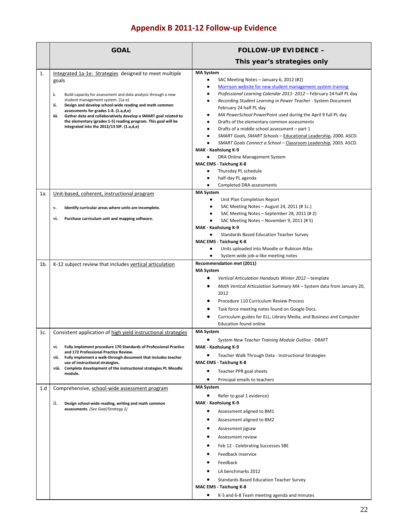# **Appendix B 2011‐12 Follow‐up Evidence**

|     | <b>GOAL</b>                                                                                                                                                                                                                                                                                                                                                                                                                                                                      | <b>FOLLOW-UP EVIDENCE -</b>                                                                                                                                                                                                                                                                                                                                                                                                                                                                                                                                                                                                                                                                                                                                                                                                 |
|-----|----------------------------------------------------------------------------------------------------------------------------------------------------------------------------------------------------------------------------------------------------------------------------------------------------------------------------------------------------------------------------------------------------------------------------------------------------------------------------------|-----------------------------------------------------------------------------------------------------------------------------------------------------------------------------------------------------------------------------------------------------------------------------------------------------------------------------------------------------------------------------------------------------------------------------------------------------------------------------------------------------------------------------------------------------------------------------------------------------------------------------------------------------------------------------------------------------------------------------------------------------------------------------------------------------------------------------|
|     |                                                                                                                                                                                                                                                                                                                                                                                                                                                                                  | This year's strategies only                                                                                                                                                                                                                                                                                                                                                                                                                                                                                                                                                                                                                                                                                                                                                                                                 |
| 1.  | Integrated 1a-1e: Strategies designed to meet multiple<br>goals<br>i.<br>Build capacity for assessment and data analysis through a new<br>student management system. (1a-e)<br>ii.<br>Design and develop school-wide reading and math common<br>assessments for grades 1-8. (1.a,d,e)<br>iii.<br>Gather data and collaboratively develop a SMART goal related to<br>the elementary (grades 1-5) reading program. This goal will be<br>integrated into the 2012/13 SIP. (1.a,d,e) | <b>MA System</b><br>SAC Meeting Notes - January 6, 2012 (#2)<br>$\bullet$<br>Morrison website for new student management system training<br>Professional Learning Calendar 2011-2012 - February 24 half PL day<br>Recording Student Learning in Power Teacher - System Document<br>$\bullet$<br>February 24 half PL day<br>MA PowerSchool PowerPoint used during the April 9 full PL day<br>٠<br>Drafts of the elementary common assessments<br>Drafts of a middle school assessment - part 1<br>SMART Goals, SMART Schools - Educational Leadership, 2000. ASCD.<br>SMART Goals Connect a School - Classroom Leadership, 2003. ASCD.<br>MAK - Kaohsiung K-9<br>DRA Online Management System<br>MAC EMS - Taichung K-8<br>Thursday PL schedule<br>$\bullet$<br>half-day PL agenda<br>Completed DRA assessments<br>$\bullet$ |
| 1a. | Unit-based, coherent, instructional program                                                                                                                                                                                                                                                                                                                                                                                                                                      | <b>MA System</b>                                                                                                                                                                                                                                                                                                                                                                                                                                                                                                                                                                                                                                                                                                                                                                                                            |
|     | Identify curricular areas where units are incomplete.<br>v.                                                                                                                                                                                                                                                                                                                                                                                                                      | $\bullet$<br>Unit Plan Completion Report<br>SAC Meeting Notes - August 24, 2011 (# 1c.)<br>٠                                                                                                                                                                                                                                                                                                                                                                                                                                                                                                                                                                                                                                                                                                                                |
|     | vi.<br>Purchase curriculum unit and mapping software.                                                                                                                                                                                                                                                                                                                                                                                                                            | SAC Meeting Notes - September 28, 2011 (# 2)<br>SAC Meeting Notes - November 9, 2011 (# 5)<br>$\bullet$                                                                                                                                                                                                                                                                                                                                                                                                                                                                                                                                                                                                                                                                                                                     |
|     |                                                                                                                                                                                                                                                                                                                                                                                                                                                                                  | MAK - Kaohsiung K-9<br><b>Standards Based Education Teacher Survey</b><br><b>MAC EMS - Taichung K-8</b><br>Units uploaded into Moodle or Rubicon Atlas<br>$\bullet$<br>System wide job-a-like meeting notes                                                                                                                                                                                                                                                                                                                                                                                                                                                                                                                                                                                                                 |
| 1b. | K-12 subject review that includes vertical articulation                                                                                                                                                                                                                                                                                                                                                                                                                          | Recommendation met (2011)<br><b>MA System</b><br>Vertical Articulation Handouts Winter 2012 - template<br>Math Vertical Articulation Summary MA - System data from January 20,<br>2012<br>Procedure 110 Curriculum Review Process<br>Task force meeting notes found on Google Docs.<br>Curriculum guides for ELL, Library Media, and Business and Computer                                                                                                                                                                                                                                                                                                                                                                                                                                                                  |
| 1c. | Consistent application of high yield instructional strategies                                                                                                                                                                                                                                                                                                                                                                                                                    | <b>Education found online</b><br><b>MA System</b>                                                                                                                                                                                                                                                                                                                                                                                                                                                                                                                                                                                                                                                                                                                                                                           |
|     | Fully implement procedure 170 Standards of Professional Practice<br>vi.<br>and 172 Professional Practice Review.<br>Fully implement a walk-through document that includes teacher<br>vii.<br>use of instructional strategies.<br>Complete development of the instructional strategies PL Moodle<br>viii.<br>module.                                                                                                                                                              | System New Teacher Training Module Outline - DRAFT<br>MAK - Kaohsiung K-9<br>Teacher Walk Through Data - Instructional Strategies<br>MAC EMS - Taichung K-8<br>Teacher PPR goal sheets<br>٠<br>Principal emails to teachers<br>٠                                                                                                                                                                                                                                                                                                                                                                                                                                                                                                                                                                                            |
| 1.d | Comprehensive, school-wide assessment program                                                                                                                                                                                                                                                                                                                                                                                                                                    | <b>MA System</b>                                                                                                                                                                                                                                                                                                                                                                                                                                                                                                                                                                                                                                                                                                                                                                                                            |
|     | ii.<br>Design school-wide reading, writing and math common<br>assessments. (See Goal/Strategy 1)                                                                                                                                                                                                                                                                                                                                                                                 | Refer to goal 1 evidence)<br>٠<br><b>MAK - Kaohsiung K-9</b><br>Assessment aligned to BM1<br>٠<br>Assessment aligned to BM2<br>٠<br>Assessment jigsaw<br>Assessment review<br>Feb 12 - Celebrating Successes SBE<br>Feedback inservice<br>Feedback<br>LA benchmarks 2012<br><b>Standards Based Education Teacher Survey</b><br>٠<br>MAC EMS - Taichung K-8<br>K-5 and 6-8 Team meeting agenda and minutes<br>٠                                                                                                                                                                                                                                                                                                                                                                                                              |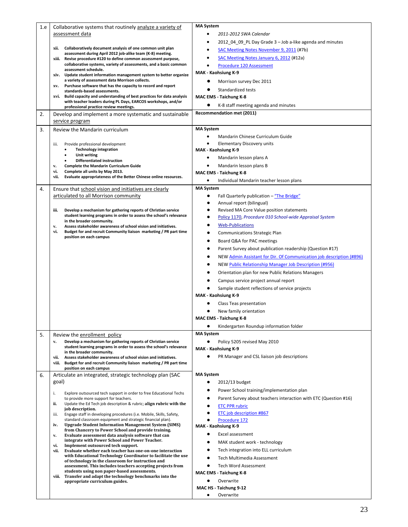| 1.e | Collaborative systems that routinely analyze a variety of                                                                                            | <b>MA System</b>                                                     |
|-----|------------------------------------------------------------------------------------------------------------------------------------------------------|----------------------------------------------------------------------|
|     | assessment data                                                                                                                                      | 2011-2012 SWA Calendar<br>٠                                          |
|     |                                                                                                                                                      | 2012_04_09_PL Day Grade 3 - Job a-like agenda and minutes<br>٠       |
|     | Collaboratively document analysis of one common unit plan<br>xii.                                                                                    | <b>SAC Meeting Notes November 9, 2011 (#7b)</b>                      |
|     | assessment during April 2012 job-alike team (K-8) meeting.<br>xiii. Revise procedure #120 to define common assessment purpose,                       | SAC Meeting Notes January 6, 2012 (#12a)<br>٠                        |
|     | collaborative systems, variety of assessments, and a basic common                                                                                    | Procedure 120 Assessment                                             |
|     | assessment schedule.                                                                                                                                 | MAK - Kaohsiung K-9                                                  |
|     | xiv. Update student information management system to better organize<br>a variety of assessment data Morrison collects.                              | Morrison survey Dec 2011                                             |
|     | Purchase software that has the capacity to record and report<br>XV.                                                                                  |                                                                      |
|     | standards-based assessments.                                                                                                                         | Standardized tests                                                   |
|     | Build capacity and understanding of best practices for data analysis<br>xvi.<br>with teacher leaders during PL Days, EARCOS workshops, and/or        | <b>MAC EMS - Taichung K-8</b>                                        |
|     | professional practice review meetings.                                                                                                               | K-8 staff meeting agenda and minutes                                 |
| 2.  | Develop and implement a more systematic and sustainable                                                                                              | Recommendation met (2011)                                            |
|     | service program                                                                                                                                      |                                                                      |
| 3.  | Review the Mandarin curriculum                                                                                                                       | <b>MA System</b>                                                     |
|     |                                                                                                                                                      | Mandarin Chinese Curriculum Guide                                    |
|     | Provide professional development<br>iii.                                                                                                             | $\bullet$<br><b>Elementary Discovery units</b>                       |
|     | <b>Technology integration</b>                                                                                                                        | MAK - Kaohsiung K-9                                                  |
|     | Unit writing<br>٠<br><b>Differentiated instruction</b>                                                                                               | Mandarin lesson plans A<br>٠                                         |
|     | <b>Complete the Mandarin Curriculum Guide</b><br>v.                                                                                                  | Mandarin lesson plans B                                              |
|     | vi.<br>Complete all units by May 2013.                                                                                                               | MAC EMS - Taichung K-8                                               |
|     | vii.<br>Evaluate appropriateness of the Better Chinese online resources.                                                                             | Individual Mandarin teacher lesson plans                             |
| 4.  | Ensure that school vision and initiatives are clearly                                                                                                | <b>MA System</b>                                                     |
|     | articulated to all Morrison community                                                                                                                | Fall Quarterly publication - "The Bridge"                            |
|     |                                                                                                                                                      | Annual report (bilingual)<br>$\bullet$                               |
|     | Develop a mechanism for gathering reports of Christian service<br>iii.                                                                               | Revised MA Core Value position statements                            |
|     | student learning programs in order to assess the school's relevance                                                                                  | Policy 1170, Procedure 010 School-wide Appraisal System              |
|     | in the broader community.                                                                                                                            | <b>Web-Publications</b>                                              |
|     | Assess stakeholder awareness of school vision and initiatives.<br>v.<br>Budget for and recruit Community liaison marketing / PR part time<br>vi.     |                                                                      |
|     | position on each campus                                                                                                                              | <b>Communications Strategic Plan</b>                                 |
|     |                                                                                                                                                      | Board Q&A for PAC meetings                                           |
|     |                                                                                                                                                      | Parent Survey about publication readership (Question #17)            |
|     |                                                                                                                                                      | NEW Admin Assistant for Dir. Of Communication job description (#896) |
|     |                                                                                                                                                      | NEW Public Relationship Manager Job Description (#956)               |
|     |                                                                                                                                                      | Orientation plan for new Public Relations Managers                   |
|     |                                                                                                                                                      | Campus service project annual report                                 |
|     |                                                                                                                                                      | Sample student reflections of service projects                       |
|     |                                                                                                                                                      | MAK - Kaohsiung K-9                                                  |
|     |                                                                                                                                                      | Class Teas presentation                                              |
|     |                                                                                                                                                      | New family orientation                                               |
|     |                                                                                                                                                      | <b>MAC EMS - Taichung K-8</b>                                        |
|     |                                                                                                                                                      | Kindergarten Roundup information folder                              |
|     |                                                                                                                                                      | <b>MA System</b>                                                     |
| 5.  | Review the enrollment policy<br>Develop a mechanism for gathering reports of Christian service<br>v.                                                 |                                                                      |
|     | student learning programs in order to assess the school's relevance                                                                                  | Policy 5205 revised May 2010<br>MAK - Kaohsiung K-9                  |
|     | in the broader community.                                                                                                                            |                                                                      |
|     | Assess stakeholder awareness of school vision and initiatives.<br>vii.<br>Budget for and recruit Community liaison marketing / PR part time<br>viii. | PR Manager and CSL liaison job descriptions                          |
|     | position on each campus                                                                                                                              |                                                                      |
| 6.  | Articulate an integrated, strategic technology plan (SAC                                                                                             | <b>MA System</b>                                                     |
|     | goal)                                                                                                                                                | 2012/13 budget<br>٠                                                  |
|     | i.<br>Explore outsourced tech support in order to free Educational Techs                                                                             | Power School training/implementation plan                            |
|     | to provide more support for teachers.                                                                                                                | Parent Survey about teachers interaction with ETC (Question #16)     |
|     | Update the Ed Tech job description & rubric; align rubric with the<br>ii.                                                                            | <b>ETC PPR rubric</b>                                                |
|     | job description.<br>iii.<br>Engage staff in developing procedures (i.e. Mobile, Skills, Safety,                                                      | ETC job description #867                                             |
|     | standard classroom equipment and strategic financial plan).                                                                                          | Procedure 172                                                        |
|     | <b>Upgrade Student Information Management System (SIMS)</b><br>iv.                                                                                   | MAK - Kaohsiung K-9                                                  |
|     | from Chancery to Power School and provide training.<br>Evaluate assessment data analysis software that can<br>v.                                     | Excel assessment<br>٠                                                |
|     | integrate with Power School and Power Teacher.                                                                                                       | MAK student work - technology                                        |
|     | Implement outsourced tech support.<br>vi.<br>Evaluate whether each teacher has one-on-one interaction<br>vii.                                        | Tech integration into ELL curriculum                                 |
|     | with Educational Technology Coordinator to facilitate the use                                                                                        | Tech Multimedia Assessment                                           |
|     | of technology in the classroom for instruction and<br>assessment. This includes teachers accepting projects from                                     | <b>Tech Word Assessment</b>                                          |
|     | students using non paper-based assessments.                                                                                                          | <b>MAC EMS - Taichung K-8</b>                                        |
|     | Transfer and adapt the technology benchmarks into the<br>viii.                                                                                       | Overwrite                                                            |
|     | appropriate curriculum guides.                                                                                                                       | MAC HS - Taichung 9-12                                               |
|     |                                                                                                                                                      | Overwrite                                                            |
|     |                                                                                                                                                      |                                                                      |